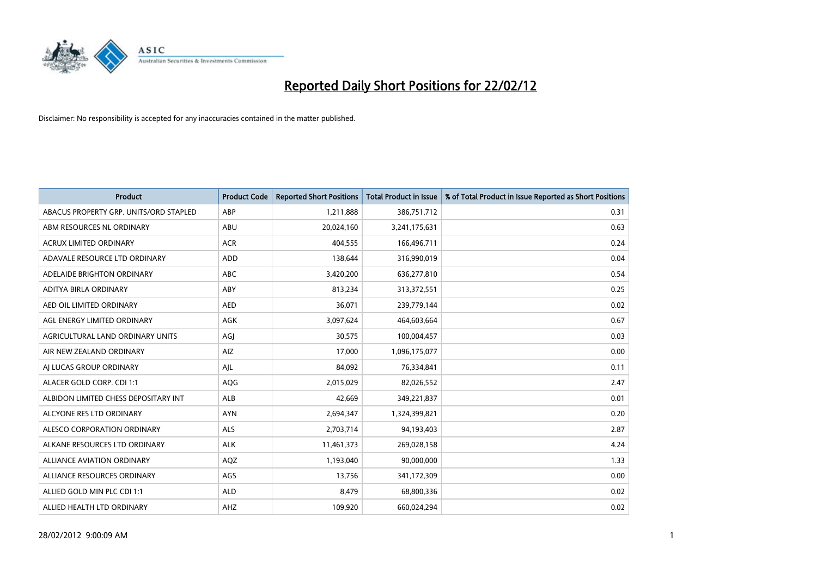

| Product                                | <b>Product Code</b> | <b>Reported Short Positions</b> | Total Product in Issue | % of Total Product in Issue Reported as Short Positions |
|----------------------------------------|---------------------|---------------------------------|------------------------|---------------------------------------------------------|
| ABACUS PROPERTY GRP. UNITS/ORD STAPLED | ABP                 | 1,211,888                       | 386,751,712            | 0.31                                                    |
| ABM RESOURCES NL ORDINARY              | ABU                 | 20,024,160                      | 3,241,175,631          | 0.63                                                    |
| <b>ACRUX LIMITED ORDINARY</b>          | <b>ACR</b>          | 404.555                         | 166,496,711            | 0.24                                                    |
| ADAVALE RESOURCE LTD ORDINARY          | <b>ADD</b>          | 138,644                         | 316,990,019            | 0.04                                                    |
| ADELAIDE BRIGHTON ORDINARY             | <b>ABC</b>          | 3,420,200                       | 636,277,810            | 0.54                                                    |
| ADITYA BIRLA ORDINARY                  | ABY                 | 813,234                         | 313,372,551            | 0.25                                                    |
| AED OIL LIMITED ORDINARY               | <b>AED</b>          | 36,071                          | 239,779,144            | 0.02                                                    |
| AGL ENERGY LIMITED ORDINARY            | AGK                 | 3,097,624                       | 464,603,664            | 0.67                                                    |
| AGRICULTURAL LAND ORDINARY UNITS       | AGJ                 | 30,575                          | 100,004,457            | 0.03                                                    |
| AIR NEW ZEALAND ORDINARY               | AIZ                 | 17,000                          | 1,096,175,077          | 0.00                                                    |
| AI LUCAS GROUP ORDINARY                | AJL                 | 84,092                          | 76,334,841             | 0.11                                                    |
| ALACER GOLD CORP. CDI 1:1              | AQG                 | 2,015,029                       | 82,026,552             | 2.47                                                    |
| ALBIDON LIMITED CHESS DEPOSITARY INT   | ALB                 | 42,669                          | 349,221,837            | 0.01                                                    |
| ALCYONE RES LTD ORDINARY               | <b>AYN</b>          | 2,694,347                       | 1,324,399,821          | 0.20                                                    |
| ALESCO CORPORATION ORDINARY            | <b>ALS</b>          | 2,703,714                       | 94,193,403             | 2.87                                                    |
| ALKANE RESOURCES LTD ORDINARY          | <b>ALK</b>          | 11,461,373                      | 269,028,158            | 4.24                                                    |
| ALLIANCE AVIATION ORDINARY             | AQZ                 | 1,193,040                       | 90,000,000             | 1.33                                                    |
| ALLIANCE RESOURCES ORDINARY            | AGS                 | 13,756                          | 341,172,309            | 0.00                                                    |
| ALLIED GOLD MIN PLC CDI 1:1            | <b>ALD</b>          | 8,479                           | 68,800,336             | 0.02                                                    |
| ALLIED HEALTH LTD ORDINARY             | AHZ                 | 109,920                         | 660,024,294            | 0.02                                                    |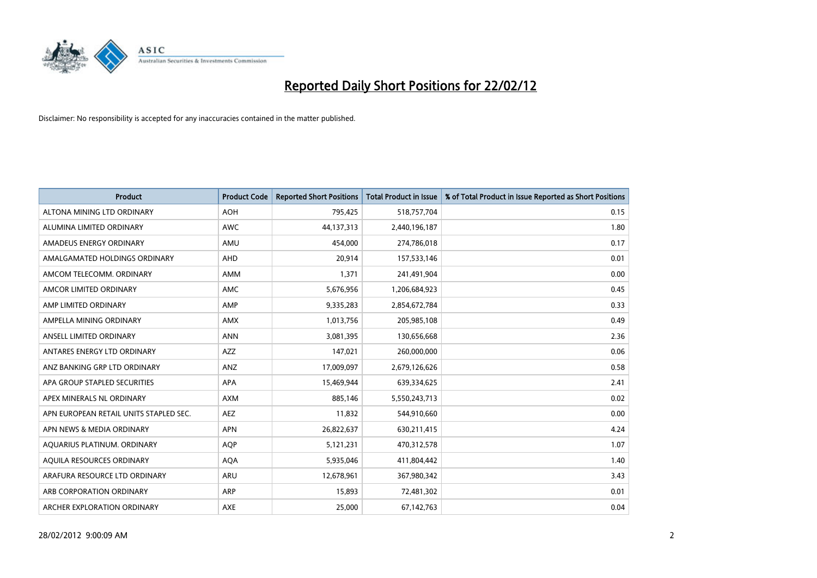

| <b>Product</b>                         | <b>Product Code</b> | <b>Reported Short Positions</b> | <b>Total Product in Issue</b> | % of Total Product in Issue Reported as Short Positions |
|----------------------------------------|---------------------|---------------------------------|-------------------------------|---------------------------------------------------------|
| ALTONA MINING LTD ORDINARY             | <b>AOH</b>          | 795,425                         | 518,757,704                   | 0.15                                                    |
| ALUMINA LIMITED ORDINARY               | AWC                 | 44,137,313                      | 2,440,196,187                 | 1.80                                                    |
| AMADEUS ENERGY ORDINARY                | AMU                 | 454,000                         | 274,786,018                   | 0.17                                                    |
| AMALGAMATED HOLDINGS ORDINARY          | AHD                 | 20,914                          | 157,533,146                   | 0.01                                                    |
| AMCOM TELECOMM, ORDINARY               | AMM                 | 1,371                           | 241,491,904                   | 0.00                                                    |
| AMCOR LIMITED ORDINARY                 | <b>AMC</b>          | 5,676,956                       | 1,206,684,923                 | 0.45                                                    |
| AMP LIMITED ORDINARY                   | AMP                 | 9,335,283                       | 2,854,672,784                 | 0.33                                                    |
| AMPELLA MINING ORDINARY                | AMX                 | 1,013,756                       | 205,985,108                   | 0.49                                                    |
| ANSELL LIMITED ORDINARY                | <b>ANN</b>          | 3,081,395                       | 130,656,668                   | 2.36                                                    |
| ANTARES ENERGY LTD ORDINARY            | <b>AZZ</b>          | 147,021                         | 260,000,000                   | 0.06                                                    |
| ANZ BANKING GRP LTD ORDINARY           | ANZ                 | 17,009,097                      | 2,679,126,626                 | 0.58                                                    |
| APA GROUP STAPLED SECURITIES           | APA                 | 15,469,944                      | 639,334,625                   | 2.41                                                    |
| APEX MINERALS NL ORDINARY              | <b>AXM</b>          | 885,146                         | 5,550,243,713                 | 0.02                                                    |
| APN EUROPEAN RETAIL UNITS STAPLED SEC. | AEZ                 | 11,832                          | 544,910,660                   | 0.00                                                    |
| APN NEWS & MEDIA ORDINARY              | <b>APN</b>          | 26,822,637                      | 630,211,415                   | 4.24                                                    |
| AQUARIUS PLATINUM. ORDINARY            | <b>AOP</b>          | 5,121,231                       | 470,312,578                   | 1.07                                                    |
| AQUILA RESOURCES ORDINARY              | <b>AQA</b>          | 5,935,046                       | 411,804,442                   | 1.40                                                    |
| ARAFURA RESOURCE LTD ORDINARY          | <b>ARU</b>          | 12,678,961                      | 367,980,342                   | 3.43                                                    |
| ARB CORPORATION ORDINARY               | ARP                 | 15,893                          | 72,481,302                    | 0.01                                                    |
| ARCHER EXPLORATION ORDINARY            | <b>AXE</b>          | 25,000                          | 67,142,763                    | 0.04                                                    |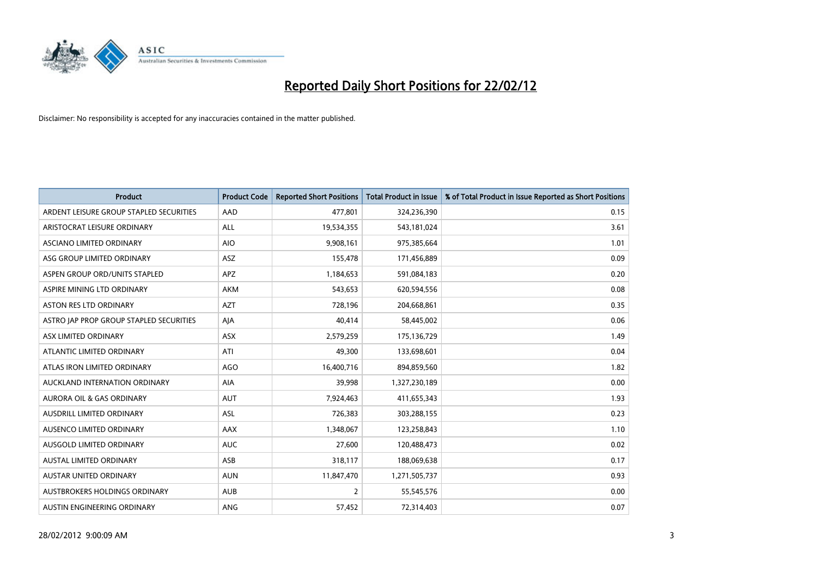

| <b>Product</b>                          | <b>Product Code</b> | <b>Reported Short Positions</b> | <b>Total Product in Issue</b> | % of Total Product in Issue Reported as Short Positions |
|-----------------------------------------|---------------------|---------------------------------|-------------------------------|---------------------------------------------------------|
| ARDENT LEISURE GROUP STAPLED SECURITIES | AAD                 | 477,801                         | 324,236,390                   | 0.15                                                    |
| ARISTOCRAT LEISURE ORDINARY             | ALL                 | 19,534,355                      | 543,181,024                   | 3.61                                                    |
| ASCIANO LIMITED ORDINARY                | <b>AIO</b>          | 9,908,161                       | 975,385,664                   | 1.01                                                    |
| ASG GROUP LIMITED ORDINARY              | ASZ                 | 155,478                         | 171,456,889                   | 0.09                                                    |
| ASPEN GROUP ORD/UNITS STAPLED           | <b>APZ</b>          | 1,184,653                       | 591,084,183                   | 0.20                                                    |
| ASPIRE MINING LTD ORDINARY              | AKM                 | 543,653                         | 620,594,556                   | 0.08                                                    |
| ASTON RES LTD ORDINARY                  | <b>AZT</b>          | 728,196                         | 204,668,861                   | 0.35                                                    |
| ASTRO JAP PROP GROUP STAPLED SECURITIES | AJA                 | 40,414                          | 58,445,002                    | 0.06                                                    |
| ASX LIMITED ORDINARY                    | ASX                 | 2,579,259                       | 175,136,729                   | 1.49                                                    |
| ATLANTIC LIMITED ORDINARY               | ATI                 | 49,300                          | 133,698,601                   | 0.04                                                    |
| ATLAS IRON LIMITED ORDINARY             | <b>AGO</b>          | 16,400,716                      | 894,859,560                   | 1.82                                                    |
| AUCKLAND INTERNATION ORDINARY           | AIA                 | 39,998                          | 1,327,230,189                 | 0.00                                                    |
| <b>AURORA OIL &amp; GAS ORDINARY</b>    | <b>AUT</b>          | 7,924,463                       | 411,655,343                   | 1.93                                                    |
| AUSDRILL LIMITED ORDINARY               | ASL                 | 726,383                         | 303,288,155                   | 0.23                                                    |
| AUSENCO LIMITED ORDINARY                | AAX                 | 1,348,067                       | 123,258,843                   | 1.10                                                    |
| AUSGOLD LIMITED ORDINARY                | <b>AUC</b>          | 27,600                          | 120,488,473                   | 0.02                                                    |
| AUSTAL LIMITED ORDINARY                 | ASB                 | 318,117                         | 188,069,638                   | 0.17                                                    |
| AUSTAR UNITED ORDINARY                  | <b>AUN</b>          | 11,847,470                      | 1,271,505,737                 | 0.93                                                    |
| AUSTBROKERS HOLDINGS ORDINARY           | <b>AUB</b>          | 2                               | 55,545,576                    | 0.00                                                    |
| AUSTIN ENGINEERING ORDINARY             | <b>ANG</b>          | 57,452                          | 72,314,403                    | 0.07                                                    |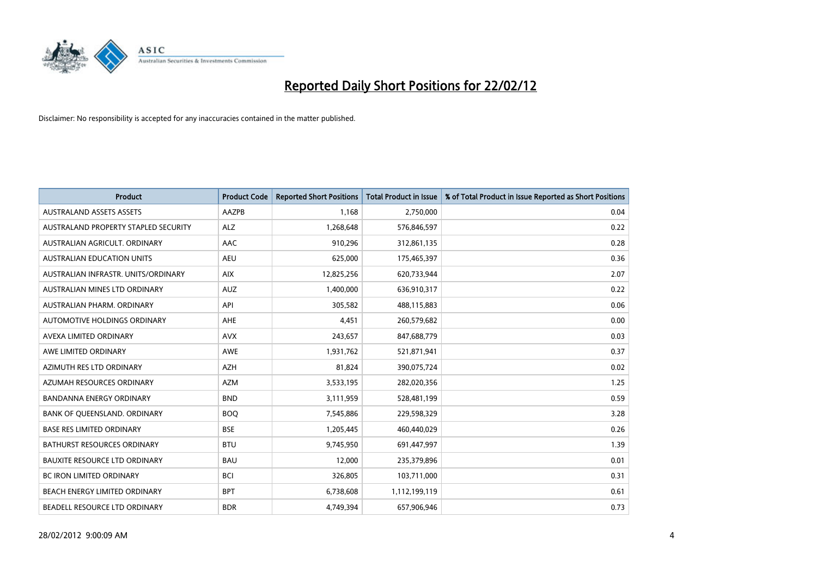

| <b>Product</b>                       | <b>Product Code</b> | <b>Reported Short Positions</b> | <b>Total Product in Issue</b> | % of Total Product in Issue Reported as Short Positions |
|--------------------------------------|---------------------|---------------------------------|-------------------------------|---------------------------------------------------------|
| <b>AUSTRALAND ASSETS ASSETS</b>      | AAZPB               | 1,168                           | 2,750,000                     | 0.04                                                    |
| AUSTRALAND PROPERTY STAPLED SECURITY | <b>ALZ</b>          | 1,268,648                       | 576,846,597                   | 0.22                                                    |
| AUSTRALIAN AGRICULT, ORDINARY        | AAC                 | 910,296                         | 312,861,135                   | 0.28                                                    |
| AUSTRALIAN EDUCATION UNITS           | <b>AEU</b>          | 625,000                         | 175,465,397                   | 0.36                                                    |
| AUSTRALIAN INFRASTR, UNITS/ORDINARY  | <b>AIX</b>          | 12,825,256                      | 620,733,944                   | 2.07                                                    |
| AUSTRALIAN MINES LTD ORDINARY        | <b>AUZ</b>          | 1,400,000                       | 636,910,317                   | 0.22                                                    |
| AUSTRALIAN PHARM, ORDINARY           | API                 | 305,582                         | 488,115,883                   | 0.06                                                    |
| AUTOMOTIVE HOLDINGS ORDINARY         | AHE                 | 4,451                           | 260,579,682                   | 0.00                                                    |
| AVEXA LIMITED ORDINARY               | <b>AVX</b>          | 243,657                         | 847,688,779                   | 0.03                                                    |
| AWE LIMITED ORDINARY                 | <b>AWE</b>          | 1,931,762                       | 521,871,941                   | 0.37                                                    |
| AZIMUTH RES LTD ORDINARY             | <b>AZH</b>          | 81,824                          | 390,075,724                   | 0.02                                                    |
| AZUMAH RESOURCES ORDINARY            | AZM                 | 3,533,195                       | 282,020,356                   | 1.25                                                    |
| <b>BANDANNA ENERGY ORDINARY</b>      | <b>BND</b>          | 3,111,959                       | 528,481,199                   | 0.59                                                    |
| BANK OF QUEENSLAND. ORDINARY         | <b>BOO</b>          | 7,545,886                       | 229,598,329                   | 3.28                                                    |
| <b>BASE RES LIMITED ORDINARY</b>     | <b>BSE</b>          | 1,205,445                       | 460,440,029                   | 0.26                                                    |
| BATHURST RESOURCES ORDINARY          | <b>BTU</b>          | 9,745,950                       | 691,447,997                   | 1.39                                                    |
| <b>BAUXITE RESOURCE LTD ORDINARY</b> | <b>BAU</b>          | 12,000                          | 235,379,896                   | 0.01                                                    |
| BC IRON LIMITED ORDINARY             | <b>BCI</b>          | 326,805                         | 103,711,000                   | 0.31                                                    |
| BEACH ENERGY LIMITED ORDINARY        | <b>BPT</b>          | 6,738,608                       | 1,112,199,119                 | 0.61                                                    |
| BEADELL RESOURCE LTD ORDINARY        | <b>BDR</b>          | 4,749,394                       | 657,906,946                   | 0.73                                                    |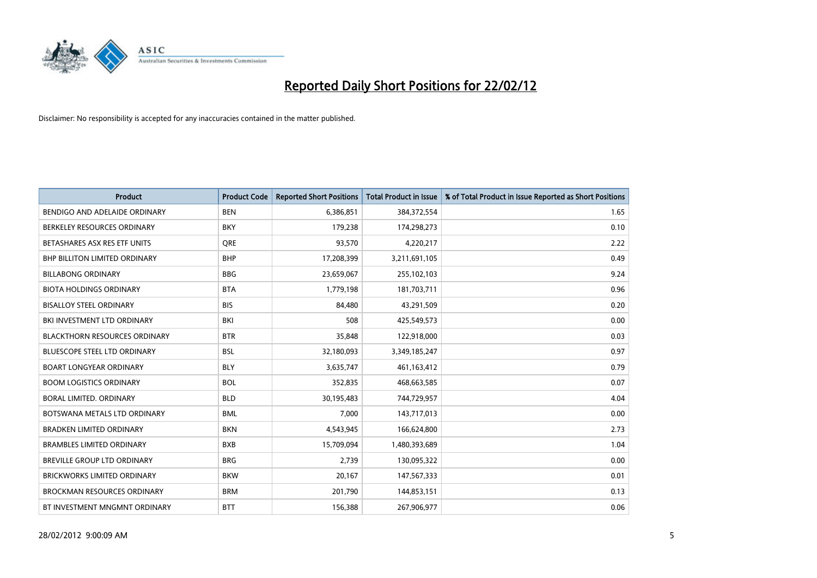

| <b>Product</b>                       | <b>Product Code</b> | <b>Reported Short Positions</b> | <b>Total Product in Issue</b> | % of Total Product in Issue Reported as Short Positions |
|--------------------------------------|---------------------|---------------------------------|-------------------------------|---------------------------------------------------------|
| BENDIGO AND ADELAIDE ORDINARY        | <b>BEN</b>          | 6,386,851                       | 384,372,554                   | 1.65                                                    |
| BERKELEY RESOURCES ORDINARY          | <b>BKY</b>          | 179,238                         | 174,298,273                   | 0.10                                                    |
| BETASHARES ASX RES ETF UNITS         | <b>ORE</b>          | 93,570                          | 4,220,217                     | 2.22                                                    |
| <b>BHP BILLITON LIMITED ORDINARY</b> | <b>BHP</b>          | 17,208,399                      | 3,211,691,105                 | 0.49                                                    |
| <b>BILLABONG ORDINARY</b>            | <b>BBG</b>          | 23,659,067                      | 255,102,103                   | 9.24                                                    |
| <b>BIOTA HOLDINGS ORDINARY</b>       | <b>BTA</b>          | 1,779,198                       | 181,703,711                   | 0.96                                                    |
| BISALLOY STEEL ORDINARY              | <b>BIS</b>          | 84,480                          | 43,291,509                    | 0.20                                                    |
| BKI INVESTMENT LTD ORDINARY          | BKI                 | 508                             | 425,549,573                   | 0.00                                                    |
| <b>BLACKTHORN RESOURCES ORDINARY</b> | <b>BTR</b>          | 35,848                          | 122,918,000                   | 0.03                                                    |
| <b>BLUESCOPE STEEL LTD ORDINARY</b>  | <b>BSL</b>          | 32,180,093                      | 3,349,185,247                 | 0.97                                                    |
| <b>BOART LONGYEAR ORDINARY</b>       | <b>BLY</b>          | 3,635,747                       | 461,163,412                   | 0.79                                                    |
| <b>BOOM LOGISTICS ORDINARY</b>       | <b>BOL</b>          | 352,835                         | 468,663,585                   | 0.07                                                    |
| BORAL LIMITED, ORDINARY              | <b>BLD</b>          | 30,195,483                      | 744,729,957                   | 4.04                                                    |
| BOTSWANA METALS LTD ORDINARY         | <b>BML</b>          | 7,000                           | 143,717,013                   | 0.00                                                    |
| <b>BRADKEN LIMITED ORDINARY</b>      | <b>BKN</b>          | 4,543,945                       | 166,624,800                   | 2.73                                                    |
| <b>BRAMBLES LIMITED ORDINARY</b>     | <b>BXB</b>          | 15,709,094                      | 1,480,393,689                 | 1.04                                                    |
| BREVILLE GROUP LTD ORDINARY          | <b>BRG</b>          | 2,739                           | 130,095,322                   | 0.00                                                    |
| <b>BRICKWORKS LIMITED ORDINARY</b>   | <b>BKW</b>          | 20,167                          | 147,567,333                   | 0.01                                                    |
| <b>BROCKMAN RESOURCES ORDINARY</b>   | <b>BRM</b>          | 201,790                         | 144,853,151                   | 0.13                                                    |
| BT INVESTMENT MNGMNT ORDINARY        | <b>BTT</b>          | 156,388                         | 267,906,977                   | 0.06                                                    |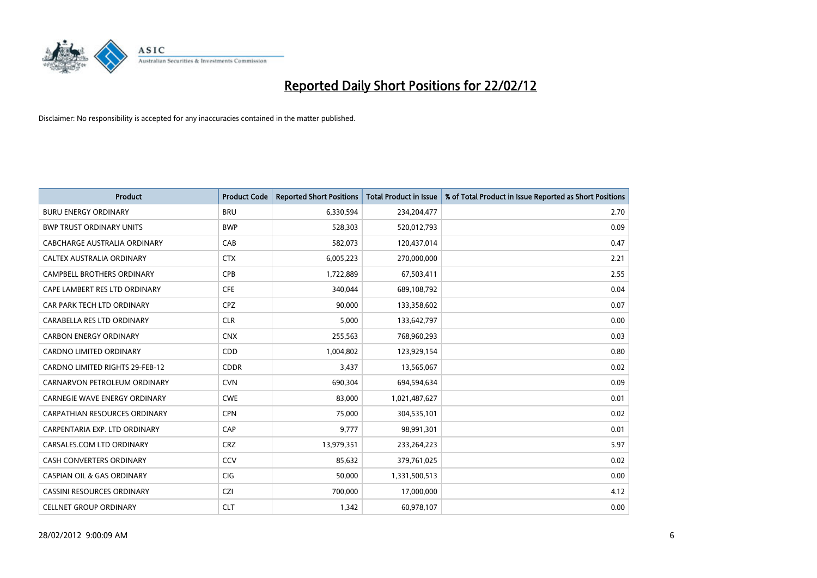

| <b>Product</b>                         | <b>Product Code</b> | <b>Reported Short Positions</b> | <b>Total Product in Issue</b> | % of Total Product in Issue Reported as Short Positions |
|----------------------------------------|---------------------|---------------------------------|-------------------------------|---------------------------------------------------------|
| <b>BURU ENERGY ORDINARY</b>            | <b>BRU</b>          | 6,330,594                       | 234,204,477                   | 2.70                                                    |
| <b>BWP TRUST ORDINARY UNITS</b>        | <b>BWP</b>          | 528,303                         | 520,012,793                   | 0.09                                                    |
| CABCHARGE AUSTRALIA ORDINARY           | CAB                 | 582,073                         | 120,437,014                   | 0.47                                                    |
| CALTEX AUSTRALIA ORDINARY              | <b>CTX</b>          | 6,005,223                       | 270,000,000                   | 2.21                                                    |
| <b>CAMPBELL BROTHERS ORDINARY</b>      | <b>CPB</b>          | 1,722,889                       | 67,503,411                    | 2.55                                                    |
| CAPE LAMBERT RES LTD ORDINARY          | <b>CFE</b>          | 340,044                         | 689,108,792                   | 0.04                                                    |
| CAR PARK TECH LTD ORDINARY             | <b>CPZ</b>          | 90,000                          | 133,358,602                   | 0.07                                                    |
| CARABELLA RES LTD ORDINARY             | <b>CLR</b>          | 5,000                           | 133,642,797                   | 0.00                                                    |
| <b>CARBON ENERGY ORDINARY</b>          | <b>CNX</b>          | 255,563                         | 768,960,293                   | 0.03                                                    |
| <b>CARDNO LIMITED ORDINARY</b>         | CDD                 | 1,004,802                       | 123,929,154                   | 0.80                                                    |
| <b>CARDNO LIMITED RIGHTS 29-FEB-12</b> | <b>CDDR</b>         | 3,437                           | 13,565,067                    | 0.02                                                    |
| CARNARVON PETROLEUM ORDINARY           | <b>CVN</b>          | 690,304                         | 694,594,634                   | 0.09                                                    |
| <b>CARNEGIE WAVE ENERGY ORDINARY</b>   | <b>CWE</b>          | 83,000                          | 1,021,487,627                 | 0.01                                                    |
| <b>CARPATHIAN RESOURCES ORDINARY</b>   | <b>CPN</b>          | 75,000                          | 304,535,101                   | 0.02                                                    |
| CARPENTARIA EXP. LTD ORDINARY          | CAP                 | 9,777                           | 98,991,301                    | 0.01                                                    |
| CARSALES.COM LTD ORDINARY              | <b>CRZ</b>          | 13,979,351                      | 233,264,223                   | 5.97                                                    |
| <b>CASH CONVERTERS ORDINARY</b>        | CCV                 | 85,632                          | 379,761,025                   | 0.02                                                    |
| <b>CASPIAN OIL &amp; GAS ORDINARY</b>  | CIG <sub></sub>     | 50,000                          | 1,331,500,513                 | 0.00                                                    |
| <b>CASSINI RESOURCES ORDINARY</b>      | <b>CZI</b>          | 700,000                         | 17,000,000                    | 4.12                                                    |
| <b>CELLNET GROUP ORDINARY</b>          | <b>CLT</b>          | 1,342                           | 60,978,107                    | 0.00                                                    |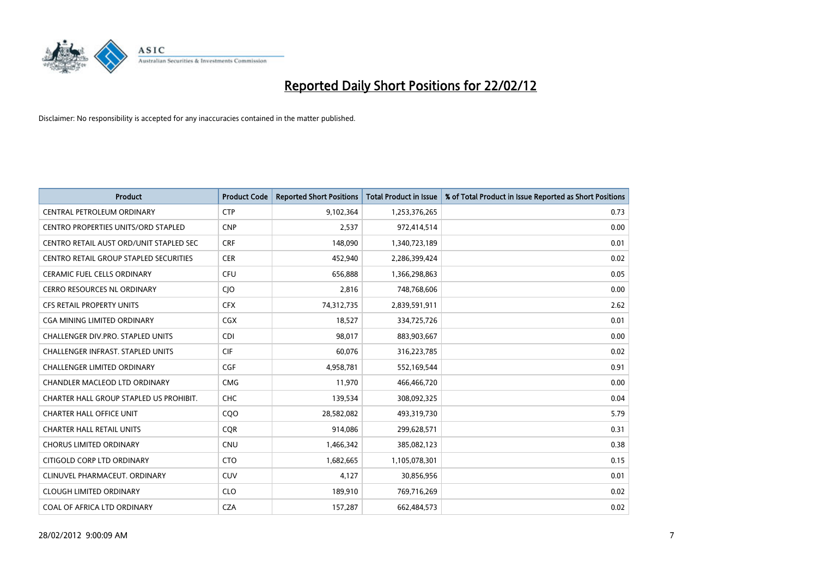

| <b>Product</b>                                | <b>Product Code</b> | <b>Reported Short Positions</b> | <b>Total Product in Issue</b> | % of Total Product in Issue Reported as Short Positions |
|-----------------------------------------------|---------------------|---------------------------------|-------------------------------|---------------------------------------------------------|
| <b>CENTRAL PETROLEUM ORDINARY</b>             | <b>CTP</b>          | 9,102,364                       | 1,253,376,265                 | 0.73                                                    |
| CENTRO PROPERTIES UNITS/ORD STAPLED           | <b>CNP</b>          | 2,537                           | 972,414,514                   | 0.00                                                    |
| CENTRO RETAIL AUST ORD/UNIT STAPLED SEC       | <b>CRF</b>          | 148,090                         | 1,340,723,189                 | 0.01                                                    |
| <b>CENTRO RETAIL GROUP STAPLED SECURITIES</b> | <b>CER</b>          | 452,940                         | 2,286,399,424                 | 0.02                                                    |
| <b>CERAMIC FUEL CELLS ORDINARY</b>            | <b>CFU</b>          | 656,888                         | 1,366,298,863                 | 0.05                                                    |
| <b>CERRO RESOURCES NL ORDINARY</b>            | CJO                 | 2,816                           | 748,768,606                   | 0.00                                                    |
| CFS RETAIL PROPERTY UNITS                     | <b>CFX</b>          | 74,312,735                      | 2,839,591,911                 | 2.62                                                    |
| CGA MINING LIMITED ORDINARY                   | CGX                 | 18,527                          | 334,725,726                   | 0.01                                                    |
| CHALLENGER DIV.PRO. STAPLED UNITS             | <b>CDI</b>          | 98,017                          | 883,903,667                   | 0.00                                                    |
| <b>CHALLENGER INFRAST, STAPLED UNITS</b>      | <b>CIF</b>          | 60,076                          | 316,223,785                   | 0.02                                                    |
| CHALLENGER LIMITED ORDINARY                   | <b>CGF</b>          | 4,958,781                       | 552,169,544                   | 0.91                                                    |
| CHANDLER MACLEOD LTD ORDINARY                 | <b>CMG</b>          | 11,970                          | 466,466,720                   | 0.00                                                    |
| CHARTER HALL GROUP STAPLED US PROHIBIT.       | <b>CHC</b>          | 139,534                         | 308,092,325                   | 0.04                                                    |
| <b>CHARTER HALL OFFICE UNIT</b>               | COO                 | 28,582,082                      | 493,319,730                   | 5.79                                                    |
| <b>CHARTER HALL RETAIL UNITS</b>              | <b>CQR</b>          | 914,086                         | 299,628,571                   | 0.31                                                    |
| <b>CHORUS LIMITED ORDINARY</b>                | <b>CNU</b>          | 1,466,342                       | 385,082,123                   | 0.38                                                    |
| CITIGOLD CORP LTD ORDINARY                    | <b>CTO</b>          | 1,682,665                       | 1,105,078,301                 | 0.15                                                    |
| CLINUVEL PHARMACEUT. ORDINARY                 | <b>CUV</b>          | 4,127                           | 30,856,956                    | 0.01                                                    |
| <b>CLOUGH LIMITED ORDINARY</b>                | <b>CLO</b>          | 189,910                         | 769,716,269                   | 0.02                                                    |
| COAL OF AFRICA LTD ORDINARY                   | <b>CZA</b>          | 157,287                         | 662,484,573                   | 0.02                                                    |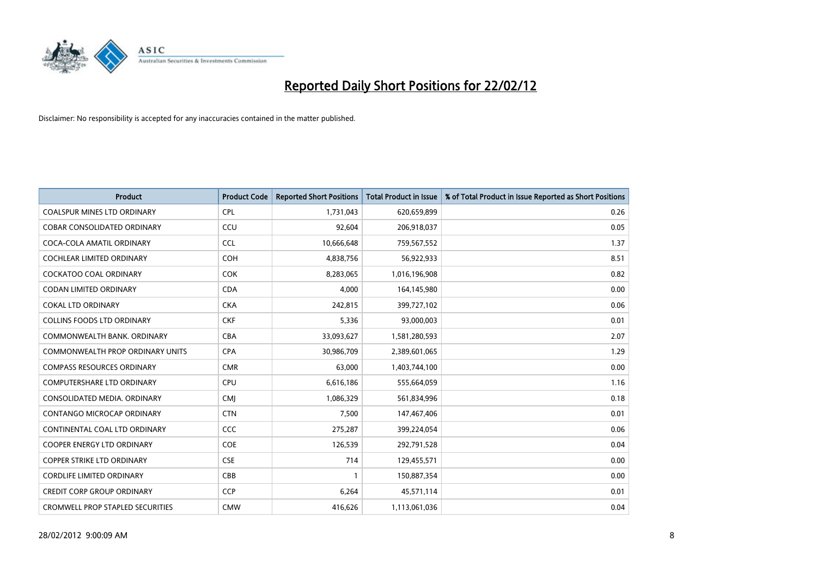

| <b>Product</b>                          | <b>Product Code</b> | <b>Reported Short Positions</b> | <b>Total Product in Issue</b> | % of Total Product in Issue Reported as Short Positions |
|-----------------------------------------|---------------------|---------------------------------|-------------------------------|---------------------------------------------------------|
| <b>COALSPUR MINES LTD ORDINARY</b>      | <b>CPL</b>          | 1,731,043                       | 620,659,899                   | 0.26                                                    |
| COBAR CONSOLIDATED ORDINARY             | CCU                 | 92,604                          | 206,918,037                   | 0.05                                                    |
| COCA-COLA AMATIL ORDINARY               | <b>CCL</b>          | 10,666,648                      | 759,567,552                   | 1.37                                                    |
| COCHLEAR LIMITED ORDINARY               | <b>COH</b>          | 4,838,756                       | 56,922,933                    | 8.51                                                    |
| <b>COCKATOO COAL ORDINARY</b>           | <b>COK</b>          | 8,283,065                       | 1,016,196,908                 | 0.82                                                    |
| <b>CODAN LIMITED ORDINARY</b>           | <b>CDA</b>          | 4,000                           | 164,145,980                   | 0.00                                                    |
| <b>COKAL LTD ORDINARY</b>               | <b>CKA</b>          | 242,815                         | 399,727,102                   | 0.06                                                    |
| <b>COLLINS FOODS LTD ORDINARY</b>       | <b>CKF</b>          | 5,336                           | 93,000,003                    | 0.01                                                    |
| COMMONWEALTH BANK, ORDINARY             | <b>CBA</b>          | 33,093,627                      | 1,581,280,593                 | 2.07                                                    |
| COMMONWEALTH PROP ORDINARY UNITS        | <b>CPA</b>          | 30,986,709                      | 2,389,601,065                 | 1.29                                                    |
| <b>COMPASS RESOURCES ORDINARY</b>       | <b>CMR</b>          | 63,000                          | 1,403,744,100                 | 0.00                                                    |
| <b>COMPUTERSHARE LTD ORDINARY</b>       | <b>CPU</b>          | 6,616,186                       | 555,664,059                   | 1.16                                                    |
| CONSOLIDATED MEDIA. ORDINARY            | <b>CMI</b>          | 1,086,329                       | 561,834,996                   | 0.18                                                    |
| <b>CONTANGO MICROCAP ORDINARY</b>       | <b>CTN</b>          | 7,500                           | 147,467,406                   | 0.01                                                    |
| CONTINENTAL COAL LTD ORDINARY           | <b>CCC</b>          | 275,287                         | 399,224,054                   | 0.06                                                    |
| COOPER ENERGY LTD ORDINARY              | <b>COE</b>          | 126,539                         | 292,791,528                   | 0.04                                                    |
| <b>COPPER STRIKE LTD ORDINARY</b>       | <b>CSE</b>          | 714                             | 129,455,571                   | 0.00                                                    |
| <b>CORDLIFE LIMITED ORDINARY</b>        | CBB                 | 1                               | 150,887,354                   | 0.00                                                    |
| <b>CREDIT CORP GROUP ORDINARY</b>       | <b>CCP</b>          | 6,264                           | 45,571,114                    | 0.01                                                    |
| <b>CROMWELL PROP STAPLED SECURITIES</b> | <b>CMW</b>          | 416,626                         | 1,113,061,036                 | 0.04                                                    |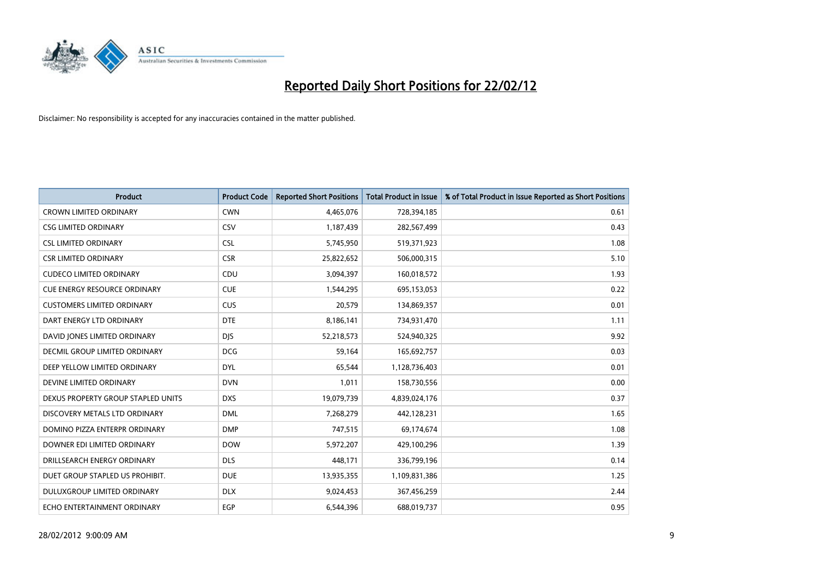

| <b>Product</b>                       | <b>Product Code</b> | <b>Reported Short Positions</b> | <b>Total Product in Issue</b> | % of Total Product in Issue Reported as Short Positions |
|--------------------------------------|---------------------|---------------------------------|-------------------------------|---------------------------------------------------------|
| <b>CROWN LIMITED ORDINARY</b>        | <b>CWN</b>          | 4,465,076                       | 728,394,185                   | 0.61                                                    |
| <b>CSG LIMITED ORDINARY</b>          | CSV                 | 1,187,439                       | 282,567,499                   | 0.43                                                    |
| <b>CSL LIMITED ORDINARY</b>          | <b>CSL</b>          | 5,745,950                       | 519,371,923                   | 1.08                                                    |
| <b>CSR LIMITED ORDINARY</b>          | <b>CSR</b>          | 25,822,652                      | 506,000,315                   | 5.10                                                    |
| <b>CUDECO LIMITED ORDINARY</b>       | CDU                 | 3,094,397                       | 160,018,572                   | 1.93                                                    |
| <b>CUE ENERGY RESOURCE ORDINARY</b>  | <b>CUE</b>          | 1,544,295                       | 695,153,053                   | 0.22                                                    |
| <b>CUSTOMERS LIMITED ORDINARY</b>    | <b>CUS</b>          | 20,579                          | 134,869,357                   | 0.01                                                    |
| DART ENERGY LTD ORDINARY             | <b>DTE</b>          | 8,186,141                       | 734,931,470                   | 1.11                                                    |
| DAVID JONES LIMITED ORDINARY         | <b>DJS</b>          | 52,218,573                      | 524,940,325                   | 9.92                                                    |
| <b>DECMIL GROUP LIMITED ORDINARY</b> | <b>DCG</b>          | 59,164                          | 165,692,757                   | 0.03                                                    |
| DEEP YELLOW LIMITED ORDINARY         | <b>DYL</b>          | 65,544                          | 1,128,736,403                 | 0.01                                                    |
| DEVINE LIMITED ORDINARY              | <b>DVN</b>          | 1,011                           | 158,730,556                   | 0.00                                                    |
| DEXUS PROPERTY GROUP STAPLED UNITS   | <b>DXS</b>          | 19,079,739                      | 4,839,024,176                 | 0.37                                                    |
| DISCOVERY METALS LTD ORDINARY        | <b>DML</b>          | 7,268,279                       | 442,128,231                   | 1.65                                                    |
| DOMINO PIZZA ENTERPR ORDINARY        | <b>DMP</b>          | 747,515                         | 69,174,674                    | 1.08                                                    |
| DOWNER EDI LIMITED ORDINARY          | <b>DOW</b>          | 5,972,207                       | 429,100,296                   | 1.39                                                    |
| DRILLSEARCH ENERGY ORDINARY          | <b>DLS</b>          | 448,171                         | 336,799,196                   | 0.14                                                    |
| DUET GROUP STAPLED US PROHIBIT.      | <b>DUE</b>          | 13,935,355                      | 1,109,831,386                 | 1.25                                                    |
| DULUXGROUP LIMITED ORDINARY          | <b>DLX</b>          | 9,024,453                       | 367,456,259                   | 2.44                                                    |
| ECHO ENTERTAINMENT ORDINARY          | <b>EGP</b>          | 6,544,396                       | 688,019,737                   | 0.95                                                    |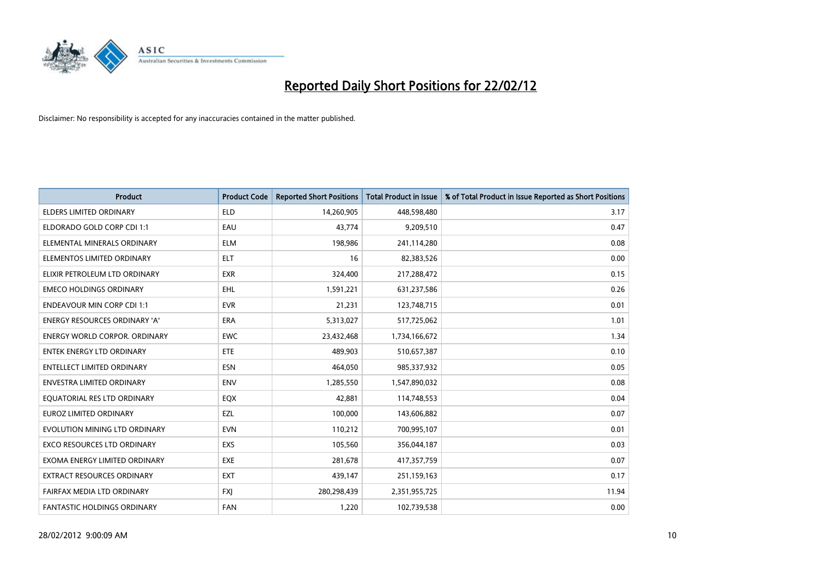

| <b>Product</b>                       | <b>Product Code</b> | <b>Reported Short Positions</b> | <b>Total Product in Issue</b> | % of Total Product in Issue Reported as Short Positions |
|--------------------------------------|---------------------|---------------------------------|-------------------------------|---------------------------------------------------------|
| <b>ELDERS LIMITED ORDINARY</b>       | <b>ELD</b>          | 14,260,905                      | 448,598,480                   | 3.17                                                    |
| ELDORADO GOLD CORP CDI 1:1           | EAU                 | 43,774                          | 9,209,510                     | 0.47                                                    |
| ELEMENTAL MINERALS ORDINARY          | ELM                 | 198,986                         | 241,114,280                   | 0.08                                                    |
| ELEMENTOS LIMITED ORDINARY           | <b>ELT</b>          | 16                              | 82,383,526                    | 0.00                                                    |
| ELIXIR PETROLEUM LTD ORDINARY        | <b>EXR</b>          | 324,400                         | 217,288,472                   | 0.15                                                    |
| <b>EMECO HOLDINGS ORDINARY</b>       | <b>EHL</b>          | 1,591,221                       | 631,237,586                   | 0.26                                                    |
| <b>ENDEAVOUR MIN CORP CDI 1:1</b>    | <b>EVR</b>          | 21,231                          | 123,748,715                   | 0.01                                                    |
| ENERGY RESOURCES ORDINARY 'A'        | <b>ERA</b>          | 5,313,027                       | 517,725,062                   | 1.01                                                    |
| <b>ENERGY WORLD CORPOR, ORDINARY</b> | <b>EWC</b>          | 23,432,468                      | 1,734,166,672                 | 1.34                                                    |
| <b>ENTEK ENERGY LTD ORDINARY</b>     | ETE                 | 489,903                         | 510,657,387                   | 0.10                                                    |
| <b>ENTELLECT LIMITED ORDINARY</b>    | <b>ESN</b>          | 464,050                         | 985,337,932                   | 0.05                                                    |
| <b>ENVESTRA LIMITED ORDINARY</b>     | <b>ENV</b>          | 1,285,550                       | 1,547,890,032                 | 0.08                                                    |
| EQUATORIAL RES LTD ORDINARY          | EQX                 | 42,881                          | 114,748,553                   | 0.04                                                    |
| <b>EUROZ LIMITED ORDINARY</b>        | EZL                 | 100,000                         | 143,606,882                   | 0.07                                                    |
| EVOLUTION MINING LTD ORDINARY        | <b>EVN</b>          | 110,212                         | 700,995,107                   | 0.01                                                    |
| <b>EXCO RESOURCES LTD ORDINARY</b>   | <b>EXS</b>          | 105,560                         | 356,044,187                   | 0.03                                                    |
| EXOMA ENERGY LIMITED ORDINARY        | <b>EXE</b>          | 281,678                         | 417,357,759                   | 0.07                                                    |
| EXTRACT RESOURCES ORDINARY           | <b>EXT</b>          | 439,147                         | 251,159,163                   | 0.17                                                    |
| FAIRFAX MEDIA LTD ORDINARY           | <b>FXI</b>          | 280,298,439                     | 2,351,955,725                 | 11.94                                                   |
| FANTASTIC HOLDINGS ORDINARY          | FAN                 | 1,220                           | 102,739,538                   | 0.00                                                    |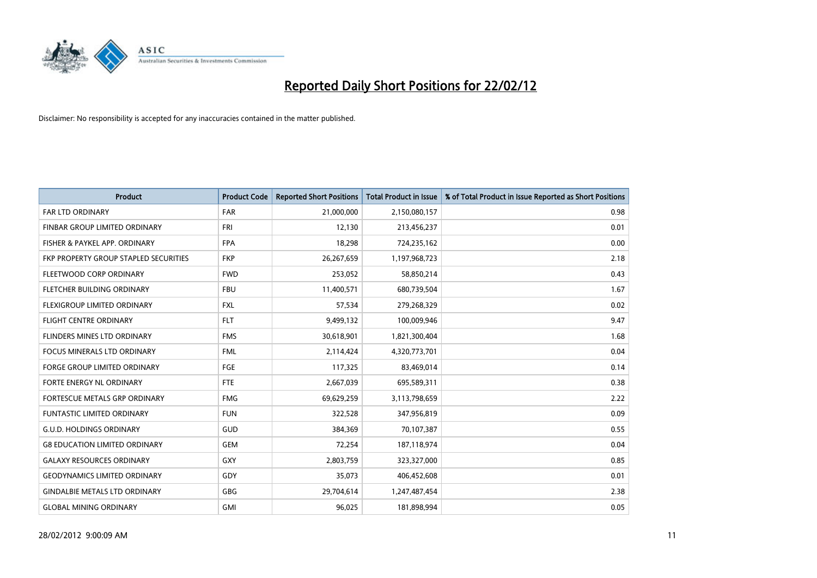

| <b>Product</b>                        | <b>Product Code</b> | <b>Reported Short Positions</b> | <b>Total Product in Issue</b> | % of Total Product in Issue Reported as Short Positions |
|---------------------------------------|---------------------|---------------------------------|-------------------------------|---------------------------------------------------------|
| <b>FAR LTD ORDINARY</b>               | <b>FAR</b>          | 21,000,000                      | 2,150,080,157                 | 0.98                                                    |
| FINBAR GROUP LIMITED ORDINARY         | <b>FRI</b>          | 12,130                          | 213,456,237                   | 0.01                                                    |
| FISHER & PAYKEL APP. ORDINARY         | <b>FPA</b>          | 18,298                          | 724,235,162                   | 0.00                                                    |
| FKP PROPERTY GROUP STAPLED SECURITIES | <b>FKP</b>          | 26,267,659                      | 1,197,968,723                 | 2.18                                                    |
| FLEETWOOD CORP ORDINARY               | <b>FWD</b>          | 253,052                         | 58,850,214                    | 0.43                                                    |
| FLETCHER BUILDING ORDINARY            | <b>FBU</b>          | 11,400,571                      | 680,739,504                   | 1.67                                                    |
| FLEXIGROUP LIMITED ORDINARY           | FXL                 | 57,534                          | 279,268,329                   | 0.02                                                    |
| FLIGHT CENTRE ORDINARY                | <b>FLT</b>          | 9,499,132                       | 100,009,946                   | 9.47                                                    |
| FLINDERS MINES LTD ORDINARY           | <b>FMS</b>          | 30,618,901                      | 1,821,300,404                 | 1.68                                                    |
| <b>FOCUS MINERALS LTD ORDINARY</b>    | <b>FML</b>          | 2,114,424                       | 4,320,773,701                 | 0.04                                                    |
| <b>FORGE GROUP LIMITED ORDINARY</b>   | FGE                 | 117,325                         | 83,469,014                    | 0.14                                                    |
| FORTE ENERGY NL ORDINARY              | FTE                 | 2,667,039                       | 695,589,311                   | 0.38                                                    |
| FORTESCUE METALS GRP ORDINARY         | <b>FMG</b>          | 69,629,259                      | 3,113,798,659                 | 2.22                                                    |
| <b>FUNTASTIC LIMITED ORDINARY</b>     | <b>FUN</b>          | 322,528                         | 347,956,819                   | 0.09                                                    |
| <b>G.U.D. HOLDINGS ORDINARY</b>       | GUD                 | 384,369                         | 70,107,387                    | 0.55                                                    |
| <b>G8 EDUCATION LIMITED ORDINARY</b>  | <b>GEM</b>          | 72,254                          | 187,118,974                   | 0.04                                                    |
| <b>GALAXY RESOURCES ORDINARY</b>      | GXY                 | 2,803,759                       | 323,327,000                   | 0.85                                                    |
| <b>GEODYNAMICS LIMITED ORDINARY</b>   | GDY                 | 35,073                          | 406,452,608                   | 0.01                                                    |
| <b>GINDALBIE METALS LTD ORDINARY</b>  | GBG                 | 29,704,614                      | 1,247,487,454                 | 2.38                                                    |
| <b>GLOBAL MINING ORDINARY</b>         | <b>GMI</b>          | 96,025                          | 181,898,994                   | 0.05                                                    |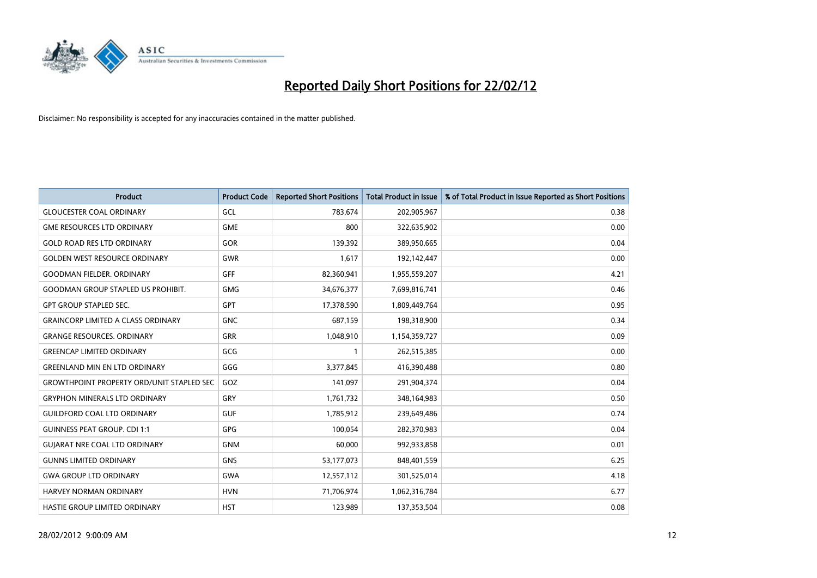

| <b>Product</b>                                   | <b>Product Code</b> | <b>Reported Short Positions</b> | <b>Total Product in Issue</b> | % of Total Product in Issue Reported as Short Positions |
|--------------------------------------------------|---------------------|---------------------------------|-------------------------------|---------------------------------------------------------|
| <b>GLOUCESTER COAL ORDINARY</b>                  | GCL                 | 783,674                         | 202,905,967                   | 0.38                                                    |
| <b>GME RESOURCES LTD ORDINARY</b>                | <b>GME</b>          | 800                             | 322,635,902                   | 0.00                                                    |
| <b>GOLD ROAD RES LTD ORDINARY</b>                | <b>GOR</b>          | 139,392                         | 389,950,665                   | 0.04                                                    |
| <b>GOLDEN WEST RESOURCE ORDINARY</b>             | <b>GWR</b>          | 1,617                           | 192,142,447                   | 0.00                                                    |
| <b>GOODMAN FIELDER, ORDINARY</b>                 | <b>GFF</b>          | 82,360,941                      | 1,955,559,207                 | 4.21                                                    |
| <b>GOODMAN GROUP STAPLED US PROHIBIT.</b>        | <b>GMG</b>          | 34,676,377                      | 7,699,816,741                 | 0.46                                                    |
| <b>GPT GROUP STAPLED SEC.</b>                    | <b>GPT</b>          | 17,378,590                      | 1,809,449,764                 | 0.95                                                    |
| <b>GRAINCORP LIMITED A CLASS ORDINARY</b>        | <b>GNC</b>          | 687,159                         | 198,318,900                   | 0.34                                                    |
| <b>GRANGE RESOURCES, ORDINARY</b>                | <b>GRR</b>          | 1,048,910                       | 1,154,359,727                 | 0.09                                                    |
| <b>GREENCAP LIMITED ORDINARY</b>                 | GCG                 | 1                               | 262,515,385                   | 0.00                                                    |
| <b>GREENLAND MIN EN LTD ORDINARY</b>             | GGG                 | 3,377,845                       | 416,390,488                   | 0.80                                                    |
| <b>GROWTHPOINT PROPERTY ORD/UNIT STAPLED SEC</b> | GOZ                 | 141,097                         | 291,904,374                   | 0.04                                                    |
| <b>GRYPHON MINERALS LTD ORDINARY</b>             | GRY                 | 1,761,732                       | 348,164,983                   | 0.50                                                    |
| <b>GUILDFORD COAL LTD ORDINARY</b>               | <b>GUF</b>          | 1,785,912                       | 239,649,486                   | 0.74                                                    |
| <b>GUINNESS PEAT GROUP. CDI 1:1</b>              | <b>GPG</b>          | 100,054                         | 282,370,983                   | 0.04                                                    |
| <b>GUIARAT NRE COAL LTD ORDINARY</b>             | <b>GNM</b>          | 60,000                          | 992,933,858                   | 0.01                                                    |
| <b>GUNNS LIMITED ORDINARY</b>                    | <b>GNS</b>          | 53,177,073                      | 848,401,559                   | 6.25                                                    |
| <b>GWA GROUP LTD ORDINARY</b>                    | <b>GWA</b>          | 12,557,112                      | 301,525,014                   | 4.18                                                    |
| <b>HARVEY NORMAN ORDINARY</b>                    | <b>HVN</b>          | 71,706,974                      | 1,062,316,784                 | 6.77                                                    |
| HASTIE GROUP LIMITED ORDINARY                    | <b>HST</b>          | 123,989                         | 137,353,504                   | 0.08                                                    |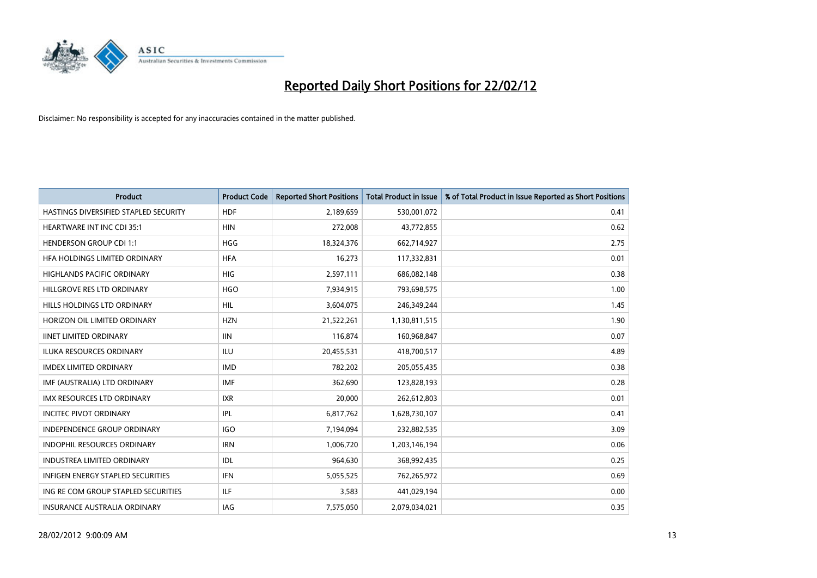

| <b>Product</b>                           | <b>Product Code</b> | <b>Reported Short Positions</b> | <b>Total Product in Issue</b> | % of Total Product in Issue Reported as Short Positions |
|------------------------------------------|---------------------|---------------------------------|-------------------------------|---------------------------------------------------------|
| HASTINGS DIVERSIFIED STAPLED SECURITY    | <b>HDF</b>          | 2,189,659                       | 530,001,072                   | 0.41                                                    |
| HEARTWARE INT INC CDI 35:1               | <b>HIN</b>          | 272,008                         | 43,772,855                    | 0.62                                                    |
| <b>HENDERSON GROUP CDI 1:1</b>           | <b>HGG</b>          | 18,324,376                      | 662,714,927                   | 2.75                                                    |
| HFA HOLDINGS LIMITED ORDINARY            | <b>HFA</b>          | 16,273                          | 117,332,831                   | 0.01                                                    |
| <b>HIGHLANDS PACIFIC ORDINARY</b>        | HIG                 | 2,597,111                       | 686,082,148                   | 0.38                                                    |
| HILLGROVE RES LTD ORDINARY               | <b>HGO</b>          | 7,934,915                       | 793,698,575                   | 1.00                                                    |
| HILLS HOLDINGS LTD ORDINARY              | <b>HIL</b>          | 3,604,075                       | 246,349,244                   | 1.45                                                    |
| HORIZON OIL LIMITED ORDINARY             | <b>HZN</b>          | 21,522,261                      | 1,130,811,515                 | 1.90                                                    |
| <b>IINET LIMITED ORDINARY</b>            | <b>IIN</b>          | 116,874                         | 160,968,847                   | 0.07                                                    |
| <b>ILUKA RESOURCES ORDINARY</b>          | ILU                 | 20,455,531                      | 418,700,517                   | 4.89                                                    |
| <b>IMDEX LIMITED ORDINARY</b>            | <b>IMD</b>          | 782,202                         | 205,055,435                   | 0.38                                                    |
| IMF (AUSTRALIA) LTD ORDINARY             | <b>IMF</b>          | 362,690                         | 123,828,193                   | 0.28                                                    |
| <b>IMX RESOURCES LTD ORDINARY</b>        | <b>IXR</b>          | 20,000                          | 262,612,803                   | 0.01                                                    |
| <b>INCITEC PIVOT ORDINARY</b>            | IPL                 | 6,817,762                       | 1,628,730,107                 | 0.41                                                    |
| <b>INDEPENDENCE GROUP ORDINARY</b>       | IGO                 | 7,194,094                       | 232,882,535                   | 3.09                                                    |
| <b>INDOPHIL RESOURCES ORDINARY</b>       | <b>IRN</b>          | 1,006,720                       | 1,203,146,194                 | 0.06                                                    |
| <b>INDUSTREA LIMITED ORDINARY</b>        | IDL                 | 964,630                         | 368,992,435                   | 0.25                                                    |
| <b>INFIGEN ENERGY STAPLED SECURITIES</b> | <b>IFN</b>          | 5,055,525                       | 762,265,972                   | 0.69                                                    |
| ING RE COM GROUP STAPLED SECURITIES      | ILF.                | 3,583                           | 441,029,194                   | 0.00                                                    |
| <b>INSURANCE AUSTRALIA ORDINARY</b>      | <b>IAG</b>          | 7,575,050                       | 2,079,034,021                 | 0.35                                                    |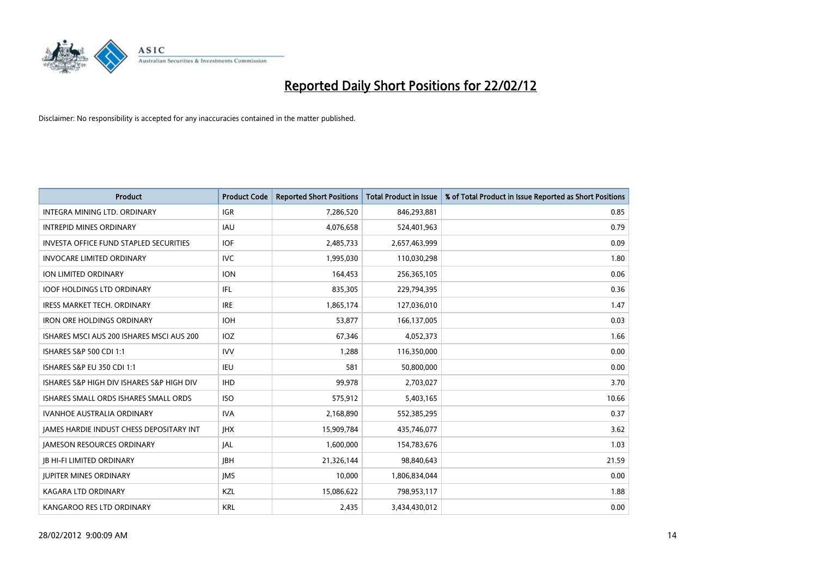

| <b>Product</b>                                | <b>Product Code</b> | <b>Reported Short Positions</b> | <b>Total Product in Issue</b> | % of Total Product in Issue Reported as Short Positions |
|-----------------------------------------------|---------------------|---------------------------------|-------------------------------|---------------------------------------------------------|
| INTEGRA MINING LTD, ORDINARY                  | <b>IGR</b>          | 7,286,520                       | 846,293,881                   | 0.85                                                    |
| <b>INTREPID MINES ORDINARY</b>                | <b>IAU</b>          | 4,076,658                       | 524,401,963                   | 0.79                                                    |
| <b>INVESTA OFFICE FUND STAPLED SECURITIES</b> | <b>IOF</b>          | 2,485,733                       | 2,657,463,999                 | 0.09                                                    |
| <b>INVOCARE LIMITED ORDINARY</b>              | <b>IVC</b>          | 1,995,030                       | 110,030,298                   | 1.80                                                    |
| ION LIMITED ORDINARY                          | <b>ION</b>          | 164,453                         | 256,365,105                   | 0.06                                                    |
| <b>IOOF HOLDINGS LTD ORDINARY</b>             | IFL                 | 835,305                         | 229,794,395                   | 0.36                                                    |
| <b>IRESS MARKET TECH. ORDINARY</b>            | <b>IRE</b>          | 1,865,174                       | 127,036,010                   | 1.47                                                    |
| <b>IRON ORE HOLDINGS ORDINARY</b>             | <b>IOH</b>          | 53,877                          | 166,137,005                   | 0.03                                                    |
| ISHARES MSCI AUS 200 ISHARES MSCI AUS 200     | IOZ                 | 67,346                          | 4,052,373                     | 1.66                                                    |
| ISHARES S&P 500 CDI 1:1                       | <b>IVV</b>          | 1,288                           | 116,350,000                   | 0.00                                                    |
| ISHARES S&P EU 350 CDI 1:1                    | IEU                 | 581                             | 50,800,000                    | 0.00                                                    |
| ISHARES S&P HIGH DIV ISHARES S&P HIGH DIV     | <b>IHD</b>          | 99,978                          | 2,703,027                     | 3.70                                                    |
| ISHARES SMALL ORDS ISHARES SMALL ORDS         | <b>ISO</b>          | 575,912                         | 5,403,165                     | 10.66                                                   |
| <b>IVANHOE AUSTRALIA ORDINARY</b>             | <b>IVA</b>          | 2,168,890                       | 552,385,295                   | 0.37                                                    |
| JAMES HARDIE INDUST CHESS DEPOSITARY INT      | <b>IHX</b>          | 15,909,784                      | 435,746,077                   | 3.62                                                    |
| <b>JAMESON RESOURCES ORDINARY</b>             | <b>JAL</b>          | 1,600,000                       | 154,783,676                   | 1.03                                                    |
| <b>JB HI-FI LIMITED ORDINARY</b>              | <b>JBH</b>          | 21,326,144                      | 98,840,643                    | 21.59                                                   |
| <b>JUPITER MINES ORDINARY</b>                 | <b>IMS</b>          | 10.000                          | 1,806,834,044                 | 0.00                                                    |
| <b>KAGARA LTD ORDINARY</b>                    | KZL                 | 15,086,622                      | 798,953,117                   | 1.88                                                    |
| KANGAROO RES LTD ORDINARY                     | <b>KRL</b>          | 2,435                           | 3,434,430,012                 | 0.00                                                    |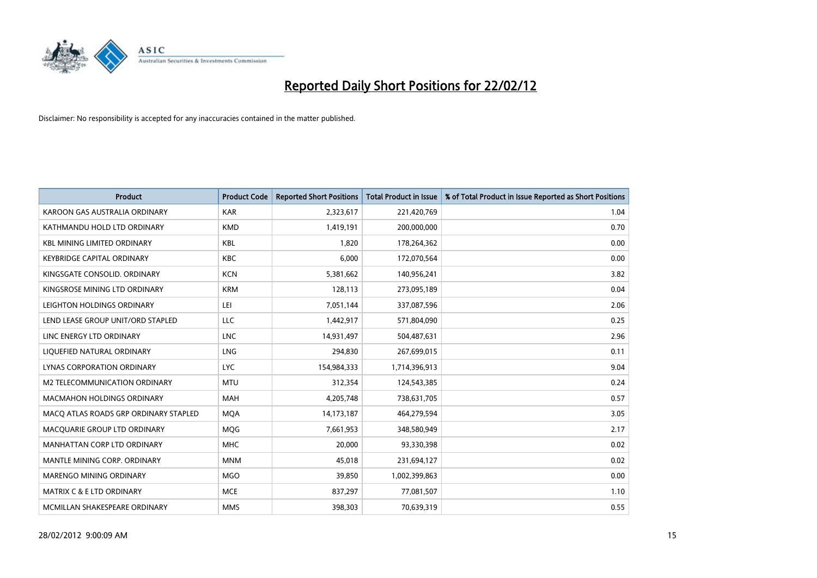

| <b>Product</b>                        | <b>Product Code</b> | <b>Reported Short Positions</b> | <b>Total Product in Issue</b> | % of Total Product in Issue Reported as Short Positions |
|---------------------------------------|---------------------|---------------------------------|-------------------------------|---------------------------------------------------------|
| KAROON GAS AUSTRALIA ORDINARY         | <b>KAR</b>          | 2,323,617                       | 221,420,769                   | 1.04                                                    |
| KATHMANDU HOLD LTD ORDINARY           | <b>KMD</b>          | 1,419,191                       | 200,000,000                   | 0.70                                                    |
| <b>KBL MINING LIMITED ORDINARY</b>    | <b>KBL</b>          | 1,820                           | 178,264,362                   | 0.00                                                    |
| <b>KEYBRIDGE CAPITAL ORDINARY</b>     | <b>KBC</b>          | 6,000                           | 172,070,564                   | 0.00                                                    |
| KINGSGATE CONSOLID, ORDINARY          | <b>KCN</b>          | 5,381,662                       | 140,956,241                   | 3.82                                                    |
| KINGSROSE MINING LTD ORDINARY         | <b>KRM</b>          | 128,113                         | 273,095,189                   | 0.04                                                    |
| LEIGHTON HOLDINGS ORDINARY            | LEI                 | 7,051,144                       | 337,087,596                   | 2.06                                                    |
| LEND LEASE GROUP UNIT/ORD STAPLED     | LLC                 | 1,442,917                       | 571,804,090                   | 0.25                                                    |
| LINC ENERGY LTD ORDINARY              | <b>LNC</b>          | 14,931,497                      | 504,487,631                   | 2.96                                                    |
| LIQUEFIED NATURAL ORDINARY            | <b>LNG</b>          | 294,830                         | 267,699,015                   | 0.11                                                    |
| LYNAS CORPORATION ORDINARY            | LYC.                | 154,984,333                     | 1,714,396,913                 | 9.04                                                    |
| M2 TELECOMMUNICATION ORDINARY         | <b>MTU</b>          | 312,354                         | 124,543,385                   | 0.24                                                    |
| <b>MACMAHON HOLDINGS ORDINARY</b>     | <b>MAH</b>          | 4,205,748                       | 738,631,705                   | 0.57                                                    |
| MACO ATLAS ROADS GRP ORDINARY STAPLED | <b>MOA</b>          | 14,173,187                      | 464,279,594                   | 3.05                                                    |
| MACQUARIE GROUP LTD ORDINARY          | <b>MQG</b>          | 7,661,953                       | 348,580,949                   | 2.17                                                    |
| MANHATTAN CORP LTD ORDINARY           | <b>MHC</b>          | 20,000                          | 93,330,398                    | 0.02                                                    |
| MANTLE MINING CORP. ORDINARY          | <b>MNM</b>          | 45,018                          | 231,694,127                   | 0.02                                                    |
| MARENGO MINING ORDINARY               | <b>MGO</b>          | 39,850                          | 1,002,399,863                 | 0.00                                                    |
| MATRIX C & E LTD ORDINARY             | <b>MCE</b>          | 837,297                         | 77,081,507                    | 1.10                                                    |
| MCMILLAN SHAKESPEARE ORDINARY         | <b>MMS</b>          | 398,303                         | 70,639,319                    | 0.55                                                    |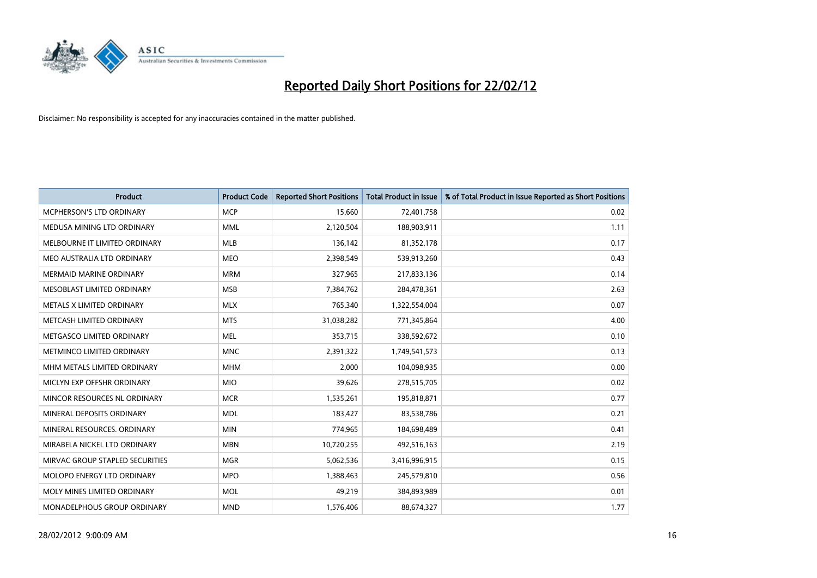

| <b>Product</b>                  | <b>Product Code</b> | <b>Reported Short Positions</b> | <b>Total Product in Issue</b> | % of Total Product in Issue Reported as Short Positions |
|---------------------------------|---------------------|---------------------------------|-------------------------------|---------------------------------------------------------|
| MCPHERSON'S LTD ORDINARY        | <b>MCP</b>          | 15,660                          | 72,401,758                    | 0.02                                                    |
| MEDUSA MINING LTD ORDINARY      | MML                 | 2,120,504                       | 188,903,911                   | 1.11                                                    |
| MELBOURNE IT LIMITED ORDINARY   | <b>MLB</b>          | 136,142                         | 81,352,178                    | 0.17                                                    |
| MEO AUSTRALIA LTD ORDINARY      | <b>MEO</b>          | 2,398,549                       | 539,913,260                   | 0.43                                                    |
| <b>MERMAID MARINE ORDINARY</b>  | <b>MRM</b>          | 327,965                         | 217,833,136                   | 0.14                                                    |
| MESOBLAST LIMITED ORDINARY      | <b>MSB</b>          | 7,384,762                       | 284,478,361                   | 2.63                                                    |
| METALS X LIMITED ORDINARY       | <b>MLX</b>          | 765,340                         | 1,322,554,004                 | 0.07                                                    |
| METCASH LIMITED ORDINARY        | <b>MTS</b>          | 31,038,282                      | 771,345,864                   | 4.00                                                    |
| METGASCO LIMITED ORDINARY       | <b>MEL</b>          | 353,715                         | 338,592,672                   | 0.10                                                    |
| METMINCO LIMITED ORDINARY       | <b>MNC</b>          | 2,391,322                       | 1,749,541,573                 | 0.13                                                    |
| MHM METALS LIMITED ORDINARY     | <b>MHM</b>          | 2,000                           | 104,098,935                   | 0.00                                                    |
| MICLYN EXP OFFSHR ORDINARY      | <b>MIO</b>          | 39,626                          | 278,515,705                   | 0.02                                                    |
| MINCOR RESOURCES NL ORDINARY    | <b>MCR</b>          | 1,535,261                       | 195,818,871                   | 0.77                                                    |
| MINERAL DEPOSITS ORDINARY       | <b>MDL</b>          | 183,427                         | 83,538,786                    | 0.21                                                    |
| MINERAL RESOURCES, ORDINARY     | <b>MIN</b>          | 774,965                         | 184,698,489                   | 0.41                                                    |
| MIRABELA NICKEL LTD ORDINARY    | <b>MBN</b>          | 10,720,255                      | 492,516,163                   | 2.19                                                    |
| MIRVAC GROUP STAPLED SECURITIES | <b>MGR</b>          | 5,062,536                       | 3,416,996,915                 | 0.15                                                    |
| MOLOPO ENERGY LTD ORDINARY      | <b>MPO</b>          | 1,388,463                       | 245,579,810                   | 0.56                                                    |
| MOLY MINES LIMITED ORDINARY     | <b>MOL</b>          | 49,219                          | 384,893,989                   | 0.01                                                    |
| MONADELPHOUS GROUP ORDINARY     | <b>MND</b>          | 1,576,406                       | 88,674,327                    | 1.77                                                    |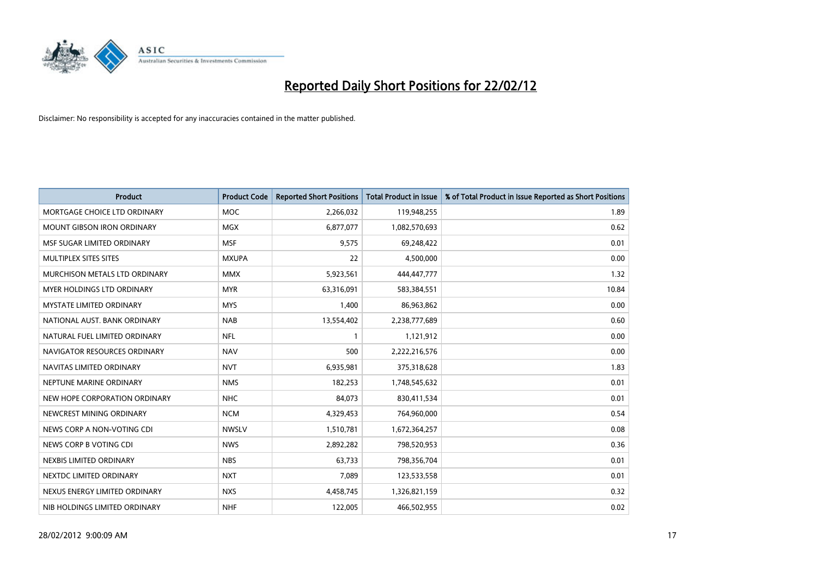

| <b>Product</b>                    | <b>Product Code</b> | <b>Reported Short Positions</b> | <b>Total Product in Issue</b> | % of Total Product in Issue Reported as Short Positions |
|-----------------------------------|---------------------|---------------------------------|-------------------------------|---------------------------------------------------------|
| MORTGAGE CHOICE LTD ORDINARY      | MOC                 | 2,266,032                       | 119,948,255                   | 1.89                                                    |
| <b>MOUNT GIBSON IRON ORDINARY</b> | <b>MGX</b>          | 6,877,077                       | 1,082,570,693                 | 0.62                                                    |
| MSF SUGAR LIMITED ORDINARY        | <b>MSF</b>          | 9,575                           | 69,248,422                    | 0.01                                                    |
| MULTIPLEX SITES SITES             | <b>MXUPA</b>        | 22                              | 4,500,000                     | 0.00                                                    |
| MURCHISON METALS LTD ORDINARY     | <b>MMX</b>          | 5,923,561                       | 444,447,777                   | 1.32                                                    |
| MYER HOLDINGS LTD ORDINARY        | <b>MYR</b>          | 63,316,091                      | 583,384,551                   | 10.84                                                   |
| <b>MYSTATE LIMITED ORDINARY</b>   | <b>MYS</b>          | 1,400                           | 86,963,862                    | 0.00                                                    |
| NATIONAL AUST. BANK ORDINARY      | <b>NAB</b>          | 13,554,402                      | 2,238,777,689                 | 0.60                                                    |
| NATURAL FUEL LIMITED ORDINARY     | <b>NFL</b>          | 1                               | 1,121,912                     | 0.00                                                    |
| NAVIGATOR RESOURCES ORDINARY      | <b>NAV</b>          | 500                             | 2,222,216,576                 | 0.00                                                    |
| NAVITAS LIMITED ORDINARY          | <b>NVT</b>          | 6,935,981                       | 375,318,628                   | 1.83                                                    |
| NEPTUNE MARINE ORDINARY           | <b>NMS</b>          | 182,253                         | 1,748,545,632                 | 0.01                                                    |
| NEW HOPE CORPORATION ORDINARY     | <b>NHC</b>          | 84,073                          | 830,411,534                   | 0.01                                                    |
| NEWCREST MINING ORDINARY          | <b>NCM</b>          | 4,329,453                       | 764,960,000                   | 0.54                                                    |
| NEWS CORP A NON-VOTING CDI        | <b>NWSLV</b>        | 1,510,781                       | 1,672,364,257                 | 0.08                                                    |
| NEWS CORP B VOTING CDI            | <b>NWS</b>          | 2,892,282                       | 798,520,953                   | 0.36                                                    |
| NEXBIS LIMITED ORDINARY           | <b>NBS</b>          | 63,733                          | 798,356,704                   | 0.01                                                    |
| NEXTDC LIMITED ORDINARY           | <b>NXT</b>          | 7,089                           | 123,533,558                   | 0.01                                                    |
| NEXUS ENERGY LIMITED ORDINARY     | <b>NXS</b>          | 4,458,745                       | 1,326,821,159                 | 0.32                                                    |
| NIB HOLDINGS LIMITED ORDINARY     | <b>NHF</b>          | 122,005                         | 466,502,955                   | 0.02                                                    |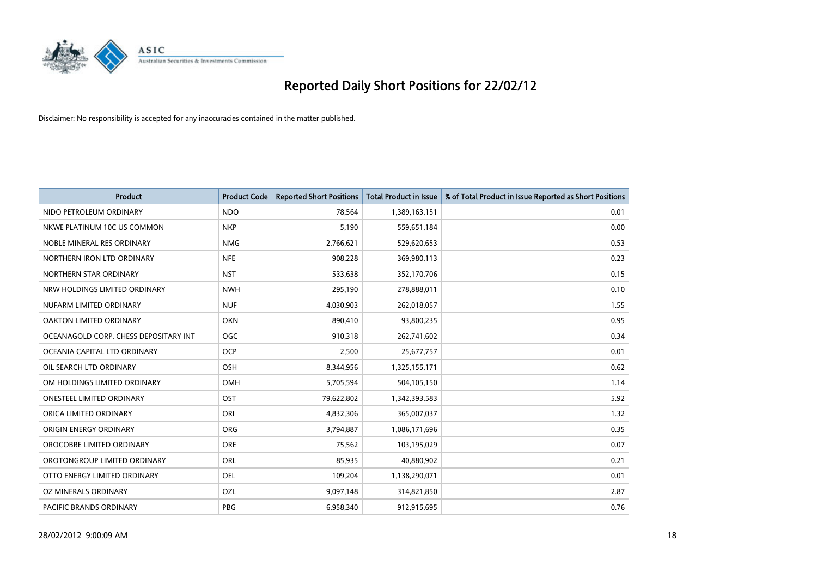

| <b>Product</b>                        | <b>Product Code</b> | <b>Reported Short Positions</b> | <b>Total Product in Issue</b> | % of Total Product in Issue Reported as Short Positions |
|---------------------------------------|---------------------|---------------------------------|-------------------------------|---------------------------------------------------------|
| NIDO PETROLEUM ORDINARY               | <b>NDO</b>          | 78,564                          | 1,389,163,151                 | 0.01                                                    |
| NKWE PLATINUM 10C US COMMON           | <b>NKP</b>          | 5,190                           | 559,651,184                   | 0.00                                                    |
| NOBLE MINERAL RES ORDINARY            | <b>NMG</b>          | 2,766,621                       | 529,620,653                   | 0.53                                                    |
| NORTHERN IRON LTD ORDINARY            | <b>NFE</b>          | 908,228                         | 369,980,113                   | 0.23                                                    |
| NORTHERN STAR ORDINARY                | <b>NST</b>          | 533,638                         | 352,170,706                   | 0.15                                                    |
| NRW HOLDINGS LIMITED ORDINARY         | <b>NWH</b>          | 295,190                         | 278,888,011                   | 0.10                                                    |
| NUFARM LIMITED ORDINARY               | <b>NUF</b>          | 4,030,903                       | 262,018,057                   | 1.55                                                    |
| OAKTON LIMITED ORDINARY               | <b>OKN</b>          | 890,410                         | 93,800,235                    | 0.95                                                    |
| OCEANAGOLD CORP. CHESS DEPOSITARY INT | OGC                 | 910,318                         | 262,741,602                   | 0.34                                                    |
| OCEANIA CAPITAL LTD ORDINARY          | <b>OCP</b>          | 2,500                           | 25,677,757                    | 0.01                                                    |
| OIL SEARCH LTD ORDINARY               | OSH                 | 8,344,956                       | 1,325,155,171                 | 0.62                                                    |
| OM HOLDINGS LIMITED ORDINARY          | OMH                 | 5,705,594                       | 504,105,150                   | 1.14                                                    |
| ONESTEEL LIMITED ORDINARY             | OST                 | 79,622,802                      | 1,342,393,583                 | 5.92                                                    |
| ORICA LIMITED ORDINARY                | ORI                 | 4,832,306                       | 365,007,037                   | 1.32                                                    |
| ORIGIN ENERGY ORDINARY                | <b>ORG</b>          | 3,794,887                       | 1,086,171,696                 | 0.35                                                    |
| OROCOBRE LIMITED ORDINARY             | <b>ORE</b>          | 75,562                          | 103,195,029                   | 0.07                                                    |
| OROTONGROUP LIMITED ORDINARY          | ORL                 | 85,935                          | 40,880,902                    | 0.21                                                    |
| OTTO ENERGY LIMITED ORDINARY          | <b>OEL</b>          | 109,204                         | 1,138,290,071                 | 0.01                                                    |
| OZ MINERALS ORDINARY                  | OZL                 | 9,097,148                       | 314,821,850                   | 2.87                                                    |
| PACIFIC BRANDS ORDINARY               | <b>PBG</b>          | 6,958,340                       | 912,915,695                   | 0.76                                                    |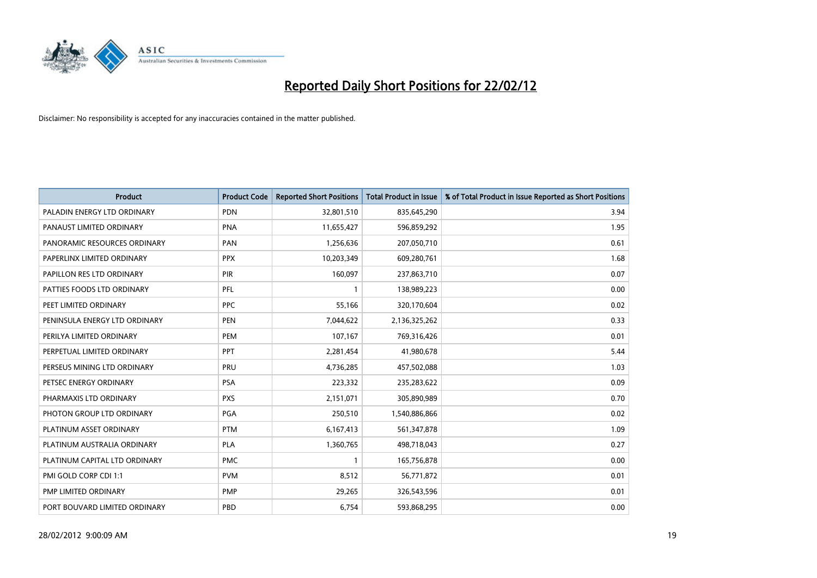

| <b>Product</b>                | <b>Product Code</b> | <b>Reported Short Positions</b> | <b>Total Product in Issue</b> | % of Total Product in Issue Reported as Short Positions |
|-------------------------------|---------------------|---------------------------------|-------------------------------|---------------------------------------------------------|
| PALADIN ENERGY LTD ORDINARY   | <b>PDN</b>          | 32,801,510                      | 835,645,290                   | 3.94                                                    |
| PANAUST LIMITED ORDINARY      | <b>PNA</b>          | 11,655,427                      | 596,859,292                   | 1.95                                                    |
| PANORAMIC RESOURCES ORDINARY  | PAN                 | 1,256,636                       | 207,050,710                   | 0.61                                                    |
| PAPERLINX LIMITED ORDINARY    | <b>PPX</b>          | 10,203,349                      | 609,280,761                   | 1.68                                                    |
| PAPILLON RES LTD ORDINARY     | PIR                 | 160,097                         | 237,863,710                   | 0.07                                                    |
| PATTIES FOODS LTD ORDINARY    | PFL                 | $\mathbf{1}$                    | 138,989,223                   | 0.00                                                    |
| PEET LIMITED ORDINARY         | <b>PPC</b>          | 55,166                          | 320,170,604                   | 0.02                                                    |
| PENINSULA ENERGY LTD ORDINARY | <b>PEN</b>          | 7,044,622                       | 2,136,325,262                 | 0.33                                                    |
| PERILYA LIMITED ORDINARY      | PEM                 | 107,167                         | 769,316,426                   | 0.01                                                    |
| PERPETUAL LIMITED ORDINARY    | <b>PPT</b>          | 2,281,454                       | 41,980,678                    | 5.44                                                    |
| PERSEUS MINING LTD ORDINARY   | PRU                 | 4,736,285                       | 457,502,088                   | 1.03                                                    |
| PETSEC ENERGY ORDINARY        | <b>PSA</b>          | 223,332                         | 235,283,622                   | 0.09                                                    |
| PHARMAXIS LTD ORDINARY        | <b>PXS</b>          | 2,151,071                       | 305,890,989                   | 0.70                                                    |
| PHOTON GROUP LTD ORDINARY     | PGA                 | 250,510                         | 1,540,886,866                 | 0.02                                                    |
| PLATINUM ASSET ORDINARY       | <b>PTM</b>          | 6,167,413                       | 561,347,878                   | 1.09                                                    |
| PLATINUM AUSTRALIA ORDINARY   | <b>PLA</b>          | 1,360,765                       | 498,718,043                   | 0.27                                                    |
| PLATINUM CAPITAL LTD ORDINARY | <b>PMC</b>          | $\mathbf{1}$                    | 165,756,878                   | 0.00                                                    |
| PMI GOLD CORP CDI 1:1         | <b>PVM</b>          | 8,512                           | 56,771,872                    | 0.01                                                    |
| PMP LIMITED ORDINARY          | <b>PMP</b>          | 29,265                          | 326,543,596                   | 0.01                                                    |
| PORT BOUVARD LIMITED ORDINARY | PBD                 | 6,754                           | 593,868,295                   | 0.00                                                    |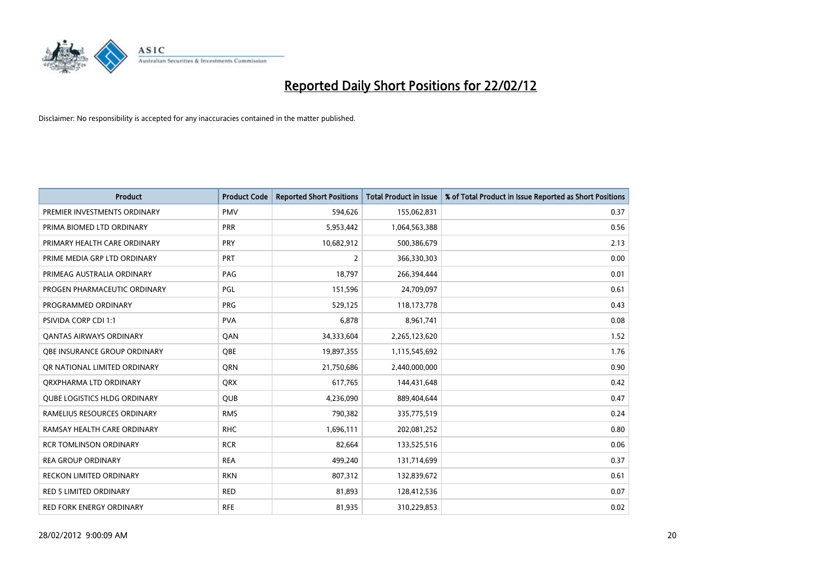

| <b>Product</b>                      | <b>Product Code</b> | <b>Reported Short Positions</b> | <b>Total Product in Issue</b> | % of Total Product in Issue Reported as Short Positions |
|-------------------------------------|---------------------|---------------------------------|-------------------------------|---------------------------------------------------------|
| PREMIER INVESTMENTS ORDINARY        | <b>PMV</b>          | 594,626                         | 155,062,831                   | 0.37                                                    |
| PRIMA BIOMED LTD ORDINARY           | <b>PRR</b>          | 5,953,442                       | 1,064,563,388                 | 0.56                                                    |
| PRIMARY HEALTH CARE ORDINARY        | <b>PRY</b>          | 10,682,912                      | 500,386,679                   | 2.13                                                    |
| PRIME MEDIA GRP LTD ORDINARY        | <b>PRT</b>          | 2                               | 366,330,303                   | 0.00                                                    |
| PRIMEAG AUSTRALIA ORDINARY          | PAG                 | 18,797                          | 266,394,444                   | 0.01                                                    |
| PROGEN PHARMACEUTIC ORDINARY        | PGL                 | 151,596                         | 24,709,097                    | 0.61                                                    |
| PROGRAMMED ORDINARY                 | <b>PRG</b>          | 529,125                         | 118,173,778                   | 0.43                                                    |
| PSIVIDA CORP CDI 1:1                | <b>PVA</b>          | 6,878                           | 8,961,741                     | 0.08                                                    |
| <b>QANTAS AIRWAYS ORDINARY</b>      | QAN                 | 34,333,604                      | 2,265,123,620                 | 1.52                                                    |
| OBE INSURANCE GROUP ORDINARY        | <b>OBE</b>          | 19,897,355                      | 1,115,545,692                 | 1.76                                                    |
| QR NATIONAL LIMITED ORDINARY        | <b>ORN</b>          | 21,750,686                      | 2,440,000,000                 | 0.90                                                    |
| ORXPHARMA LTD ORDINARY              | QRX                 | 617,765                         | 144,431,648                   | 0.42                                                    |
| <b>QUBE LOGISTICS HLDG ORDINARY</b> | <b>QUB</b>          | 4,236,090                       | 889,404,644                   | 0.47                                                    |
| RAMELIUS RESOURCES ORDINARY         | <b>RMS</b>          | 790,382                         | 335,775,519                   | 0.24                                                    |
| RAMSAY HEALTH CARE ORDINARY         | <b>RHC</b>          | 1,696,111                       | 202,081,252                   | 0.80                                                    |
| <b>RCR TOMLINSON ORDINARY</b>       | <b>RCR</b>          | 82,664                          | 133,525,516                   | 0.06                                                    |
| <b>REA GROUP ORDINARY</b>           | <b>REA</b>          | 499,240                         | 131,714,699                   | 0.37                                                    |
| RECKON LIMITED ORDINARY             | <b>RKN</b>          | 807,312                         | 132,839,672                   | 0.61                                                    |
| <b>RED 5 LIMITED ORDINARY</b>       | <b>RED</b>          | 81,893                          | 128,412,536                   | 0.07                                                    |
| RED FORK ENERGY ORDINARY            | <b>RFE</b>          | 81,935                          | 310,229,853                   | 0.02                                                    |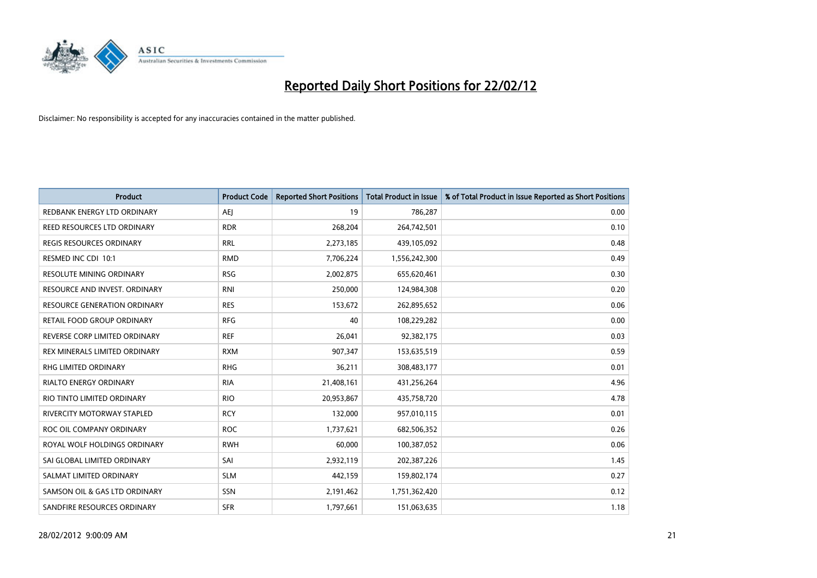

| Product                             | <b>Product Code</b> | <b>Reported Short Positions</b> | <b>Total Product in Issue</b> | % of Total Product in Issue Reported as Short Positions |
|-------------------------------------|---------------------|---------------------------------|-------------------------------|---------------------------------------------------------|
| REDBANK ENERGY LTD ORDINARY         | <b>AEI</b>          | 19                              | 786,287                       | 0.00                                                    |
| REED RESOURCES LTD ORDINARY         | <b>RDR</b>          | 268,204                         | 264,742,501                   | 0.10                                                    |
| REGIS RESOURCES ORDINARY            | <b>RRL</b>          | 2,273,185                       | 439,105,092                   | 0.48                                                    |
| RESMED INC CDI 10:1                 | <b>RMD</b>          | 7,706,224                       | 1,556,242,300                 | 0.49                                                    |
| <b>RESOLUTE MINING ORDINARY</b>     | <b>RSG</b>          | 2,002,875                       | 655,620,461                   | 0.30                                                    |
| RESOURCE AND INVEST. ORDINARY       | <b>RNI</b>          | 250,000                         | 124,984,308                   | 0.20                                                    |
| <b>RESOURCE GENERATION ORDINARY</b> | <b>RES</b>          | 153,672                         | 262,895,652                   | 0.06                                                    |
| RETAIL FOOD GROUP ORDINARY          | <b>RFG</b>          | 40                              | 108,229,282                   | 0.00                                                    |
| REVERSE CORP LIMITED ORDINARY       | <b>REF</b>          | 26,041                          | 92,382,175                    | 0.03                                                    |
| REX MINERALS LIMITED ORDINARY       | <b>RXM</b>          | 907,347                         | 153,635,519                   | 0.59                                                    |
| <b>RHG LIMITED ORDINARY</b>         | <b>RHG</b>          | 36,211                          | 308,483,177                   | 0.01                                                    |
| <b>RIALTO ENERGY ORDINARY</b>       | <b>RIA</b>          | 21,408,161                      | 431,256,264                   | 4.96                                                    |
| RIO TINTO LIMITED ORDINARY          | <b>RIO</b>          | 20,953,867                      | 435,758,720                   | 4.78                                                    |
| RIVERCITY MOTORWAY STAPLED          | <b>RCY</b>          | 132,000                         | 957,010,115                   | 0.01                                                    |
| ROC OIL COMPANY ORDINARY            | <b>ROC</b>          | 1,737,621                       | 682,506,352                   | 0.26                                                    |
| ROYAL WOLF HOLDINGS ORDINARY        | <b>RWH</b>          | 60,000                          | 100,387,052                   | 0.06                                                    |
| SAI GLOBAL LIMITED ORDINARY         | SAI                 | 2,932,119                       | 202,387,226                   | 1.45                                                    |
| SALMAT LIMITED ORDINARY             | <b>SLM</b>          | 442,159                         | 159,802,174                   | 0.27                                                    |
| SAMSON OIL & GAS LTD ORDINARY       | SSN                 | 2,191,462                       | 1,751,362,420                 | 0.12                                                    |
| SANDFIRE RESOURCES ORDINARY         | <b>SFR</b>          | 1,797,661                       | 151,063,635                   | 1.18                                                    |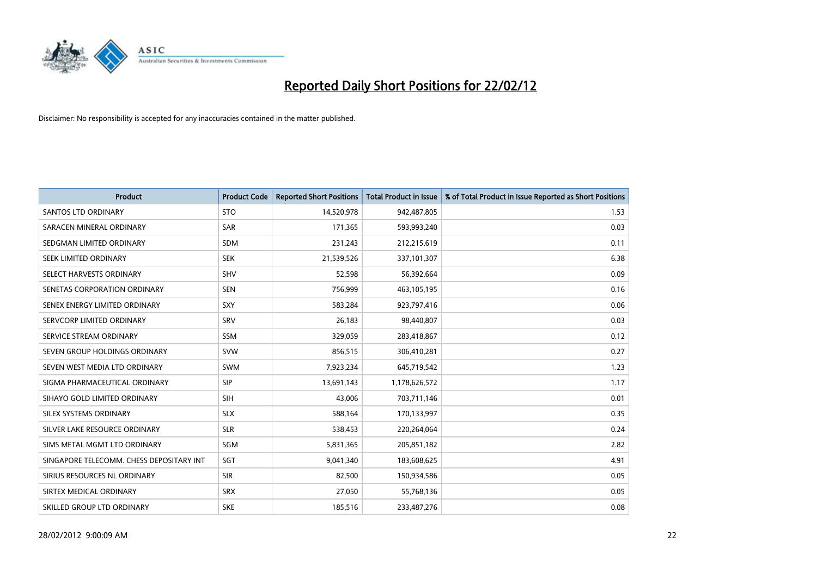

| <b>Product</b>                           | <b>Product Code</b> | <b>Reported Short Positions</b> | <b>Total Product in Issue</b> | % of Total Product in Issue Reported as Short Positions |
|------------------------------------------|---------------------|---------------------------------|-------------------------------|---------------------------------------------------------|
| <b>SANTOS LTD ORDINARY</b>               | <b>STO</b>          | 14,520,978                      | 942,487,805                   | 1.53                                                    |
| SARACEN MINERAL ORDINARY                 | <b>SAR</b>          | 171,365                         | 593,993,240                   | 0.03                                                    |
| SEDGMAN LIMITED ORDINARY                 | <b>SDM</b>          | 231,243                         | 212,215,619                   | 0.11                                                    |
| SEEK LIMITED ORDINARY                    | <b>SEK</b>          | 21,539,526                      | 337,101,307                   | 6.38                                                    |
| SELECT HARVESTS ORDINARY                 | SHV                 | 52,598                          | 56,392,664                    | 0.09                                                    |
| SENETAS CORPORATION ORDINARY             | <b>SEN</b>          | 756,999                         | 463,105,195                   | 0.16                                                    |
| SENEX ENERGY LIMITED ORDINARY            | <b>SXY</b>          | 583,284                         | 923,797,416                   | 0.06                                                    |
| SERVCORP LIMITED ORDINARY                | SRV                 | 26,183                          | 98,440,807                    | 0.03                                                    |
| SERVICE STREAM ORDINARY                  | <b>SSM</b>          | 329,059                         | 283,418,867                   | 0.12                                                    |
| SEVEN GROUP HOLDINGS ORDINARY            | <b>SVW</b>          | 856,515                         | 306,410,281                   | 0.27                                                    |
| SEVEN WEST MEDIA LTD ORDINARY            | SWM                 | 7,923,234                       | 645,719,542                   | 1.23                                                    |
| SIGMA PHARMACEUTICAL ORDINARY            | <b>SIP</b>          | 13,691,143                      | 1,178,626,572                 | 1.17                                                    |
| SIHAYO GOLD LIMITED ORDINARY             | <b>SIH</b>          | 43,006                          | 703,711,146                   | 0.01                                                    |
| SILEX SYSTEMS ORDINARY                   | <b>SLX</b>          | 588,164                         | 170,133,997                   | 0.35                                                    |
| SILVER LAKE RESOURCE ORDINARY            | <b>SLR</b>          | 538,453                         | 220,264,064                   | 0.24                                                    |
| SIMS METAL MGMT LTD ORDINARY             | SGM                 | 5,831,365                       | 205,851,182                   | 2.82                                                    |
| SINGAPORE TELECOMM. CHESS DEPOSITARY INT | SGT                 | 9,041,340                       | 183,608,625                   | 4.91                                                    |
| SIRIUS RESOURCES NL ORDINARY             | <b>SIR</b>          | 82,500                          | 150,934,586                   | 0.05                                                    |
| SIRTEX MEDICAL ORDINARY                  | <b>SRX</b>          | 27,050                          | 55,768,136                    | 0.05                                                    |
| SKILLED GROUP LTD ORDINARY               | <b>SKE</b>          | 185,516                         | 233,487,276                   | 0.08                                                    |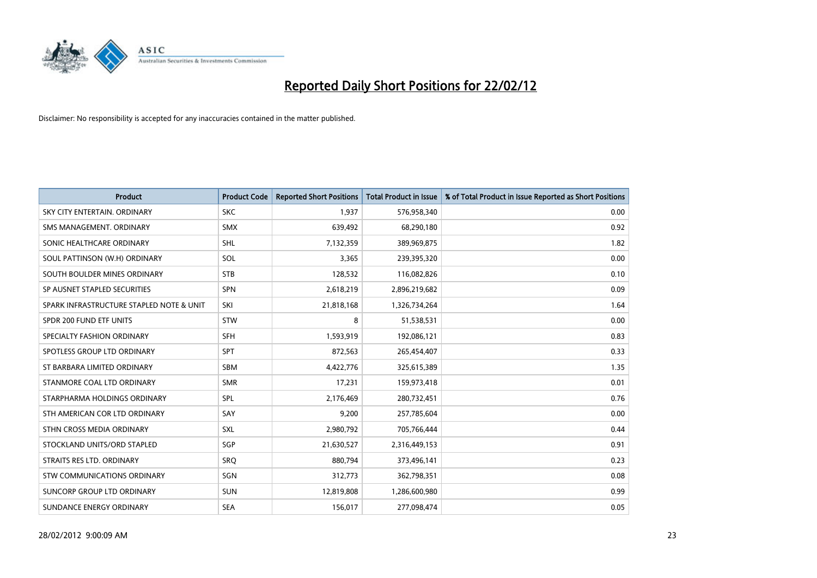

| <b>Product</b>                           | <b>Product Code</b> | <b>Reported Short Positions</b> | <b>Total Product in Issue</b> | % of Total Product in Issue Reported as Short Positions |
|------------------------------------------|---------------------|---------------------------------|-------------------------------|---------------------------------------------------------|
| SKY CITY ENTERTAIN, ORDINARY             | <b>SKC</b>          | 1,937                           | 576,958,340                   | 0.00                                                    |
| SMS MANAGEMENT, ORDINARY                 | <b>SMX</b>          | 639,492                         | 68,290,180                    | 0.92                                                    |
| SONIC HEALTHCARE ORDINARY                | <b>SHL</b>          | 7,132,359                       | 389,969,875                   | 1.82                                                    |
| SOUL PATTINSON (W.H) ORDINARY            | SOL                 | 3,365                           | 239,395,320                   | 0.00                                                    |
| SOUTH BOULDER MINES ORDINARY             | <b>STB</b>          | 128,532                         | 116,082,826                   | 0.10                                                    |
| SP AUSNET STAPLED SECURITIES             | <b>SPN</b>          | 2,618,219                       | 2,896,219,682                 | 0.09                                                    |
| SPARK INFRASTRUCTURE STAPLED NOTE & UNIT | SKI                 | 21,818,168                      | 1,326,734,264                 | 1.64                                                    |
| SPDR 200 FUND ETF UNITS                  | <b>STW</b>          | 8                               | 51,538,531                    | 0.00                                                    |
| SPECIALTY FASHION ORDINARY               | <b>SFH</b>          | 1,593,919                       | 192,086,121                   | 0.83                                                    |
| SPOTLESS GROUP LTD ORDINARY              | <b>SPT</b>          | 872,563                         | 265,454,407                   | 0.33                                                    |
| ST BARBARA LIMITED ORDINARY              | <b>SBM</b>          | 4,422,776                       | 325,615,389                   | 1.35                                                    |
| STANMORE COAL LTD ORDINARY               | <b>SMR</b>          | 17,231                          | 159,973,418                   | 0.01                                                    |
| STARPHARMA HOLDINGS ORDINARY             | SPL                 | 2,176,469                       | 280,732,451                   | 0.76                                                    |
| STH AMERICAN COR LTD ORDINARY            | SAY                 | 9,200                           | 257,785,604                   | 0.00                                                    |
| STHN CROSS MEDIA ORDINARY                | <b>SXL</b>          | 2,980,792                       | 705,766,444                   | 0.44                                                    |
| STOCKLAND UNITS/ORD STAPLED              | <b>SGP</b>          | 21,630,527                      | 2,316,449,153                 | 0.91                                                    |
| STRAITS RES LTD. ORDINARY                | <b>SRQ</b>          | 880,794                         | 373,496,141                   | 0.23                                                    |
| <b>STW COMMUNICATIONS ORDINARY</b>       | SGN                 | 312,773                         | 362,798,351                   | 0.08                                                    |
| SUNCORP GROUP LTD ORDINARY               | <b>SUN</b>          | 12,819,808                      | 1,286,600,980                 | 0.99                                                    |
| SUNDANCE ENERGY ORDINARY                 | <b>SEA</b>          | 156,017                         | 277,098,474                   | 0.05                                                    |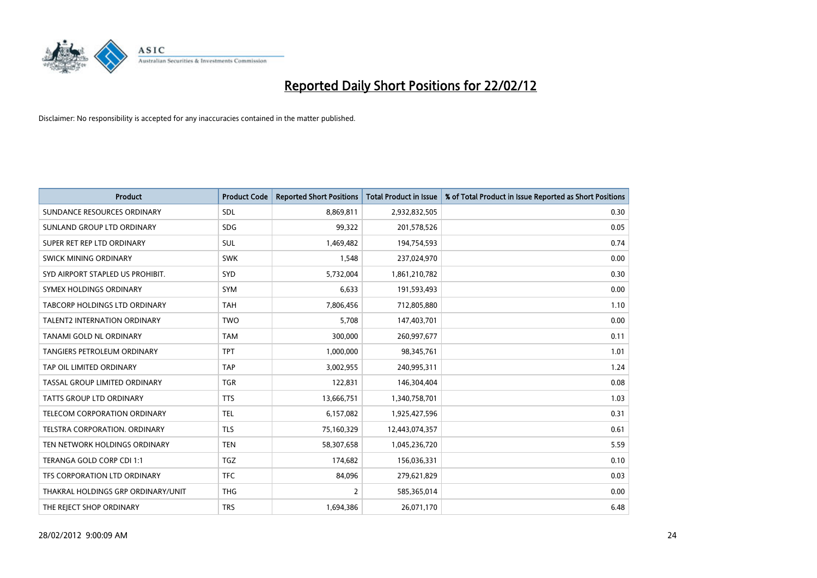

| <b>Product</b>                       | <b>Product Code</b> | <b>Reported Short Positions</b> | <b>Total Product in Issue</b> | % of Total Product in Issue Reported as Short Positions |
|--------------------------------------|---------------------|---------------------------------|-------------------------------|---------------------------------------------------------|
| SUNDANCE RESOURCES ORDINARY          | <b>SDL</b>          | 8,869,811                       | 2,932,832,505                 | 0.30                                                    |
| SUNLAND GROUP LTD ORDINARY           | <b>SDG</b>          | 99,322                          | 201,578,526                   | 0.05                                                    |
| SUPER RET REP LTD ORDINARY           | <b>SUL</b>          | 1,469,482                       | 194,754,593                   | 0.74                                                    |
| SWICK MINING ORDINARY                | <b>SWK</b>          | 1,548                           | 237,024,970                   | 0.00                                                    |
| SYD AIRPORT STAPLED US PROHIBIT.     | SYD                 | 5,732,004                       | 1,861,210,782                 | 0.30                                                    |
| SYMEX HOLDINGS ORDINARY              | SYM                 | 6,633                           | 191,593,493                   | 0.00                                                    |
| <b>TABCORP HOLDINGS LTD ORDINARY</b> | <b>TAH</b>          | 7,806,456                       | 712,805,880                   | 1.10                                                    |
| <b>TALENT2 INTERNATION ORDINARY</b>  | <b>TWO</b>          | 5,708                           | 147,403,701                   | 0.00                                                    |
| TANAMI GOLD NL ORDINARY              | <b>TAM</b>          | 300,000                         | 260,997,677                   | 0.11                                                    |
| <b>TANGIERS PETROLEUM ORDINARY</b>   | <b>TPT</b>          | 1,000,000                       | 98,345,761                    | 1.01                                                    |
| TAP OIL LIMITED ORDINARY             | <b>TAP</b>          | 3,002,955                       | 240,995,311                   | 1.24                                                    |
| TASSAL GROUP LIMITED ORDINARY        | <b>TGR</b>          | 122,831                         | 146,304,404                   | 0.08                                                    |
| TATTS GROUP LTD ORDINARY             | <b>TTS</b>          | 13,666,751                      | 1,340,758,701                 | 1.03                                                    |
| TELECOM CORPORATION ORDINARY         | TEL                 | 6,157,082                       | 1,925,427,596                 | 0.31                                                    |
| TELSTRA CORPORATION, ORDINARY        | <b>TLS</b>          | 75,160,329                      | 12,443,074,357                | 0.61                                                    |
| TEN NETWORK HOLDINGS ORDINARY        | <b>TEN</b>          | 58,307,658                      | 1,045,236,720                 | 5.59                                                    |
| TERANGA GOLD CORP CDI 1:1            | TGZ                 | 174,682                         | 156,036,331                   | 0.10                                                    |
| TFS CORPORATION LTD ORDINARY         | <b>TFC</b>          | 84,096                          | 279,621,829                   | 0.03                                                    |
| THAKRAL HOLDINGS GRP ORDINARY/UNIT   | <b>THG</b>          | $\overline{2}$                  | 585,365,014                   | 0.00                                                    |
| THE REJECT SHOP ORDINARY             | <b>TRS</b>          | 1,694,386                       | 26,071,170                    | 6.48                                                    |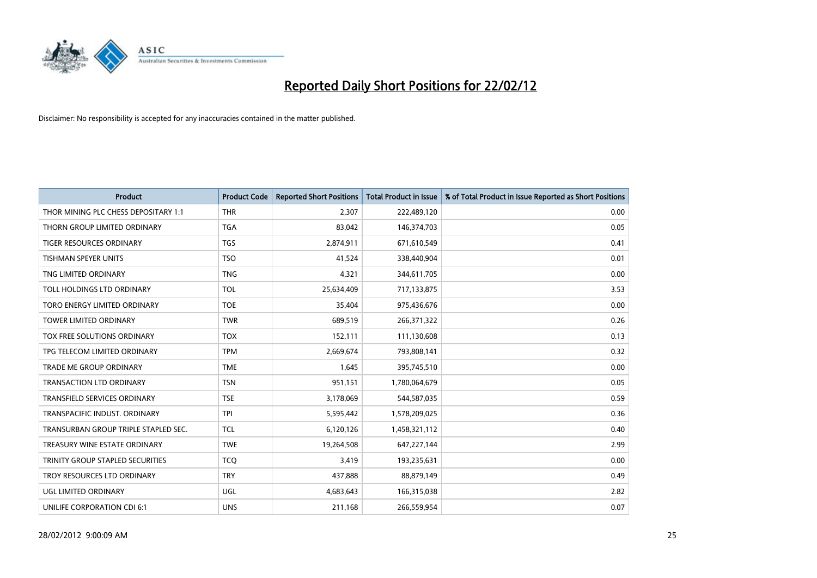

| <b>Product</b>                       | <b>Product Code</b> | <b>Reported Short Positions</b> | <b>Total Product in Issue</b> | % of Total Product in Issue Reported as Short Positions |
|--------------------------------------|---------------------|---------------------------------|-------------------------------|---------------------------------------------------------|
| THOR MINING PLC CHESS DEPOSITARY 1:1 | <b>THR</b>          | 2,307                           | 222,489,120                   | 0.00                                                    |
| THORN GROUP LIMITED ORDINARY         | <b>TGA</b>          | 83,042                          | 146,374,703                   | 0.05                                                    |
| <b>TIGER RESOURCES ORDINARY</b>      | <b>TGS</b>          | 2,874,911                       | 671,610,549                   | 0.41                                                    |
| TISHMAN SPEYER UNITS                 | <b>TSO</b>          | 41,524                          | 338,440,904                   | 0.01                                                    |
| TNG LIMITED ORDINARY                 | <b>TNG</b>          | 4,321                           | 344,611,705                   | 0.00                                                    |
| TOLL HOLDINGS LTD ORDINARY           | <b>TOL</b>          | 25,634,409                      | 717,133,875                   | 3.53                                                    |
| TORO ENERGY LIMITED ORDINARY         | <b>TOE</b>          | 35,404                          | 975,436,676                   | 0.00                                                    |
| TOWER LIMITED ORDINARY               | <b>TWR</b>          | 689,519                         | 266,371,322                   | 0.26                                                    |
| TOX FREE SOLUTIONS ORDINARY          | <b>TOX</b>          | 152,111                         | 111,130,608                   | 0.13                                                    |
| TPG TELECOM LIMITED ORDINARY         | <b>TPM</b>          | 2,669,674                       | 793,808,141                   | 0.32                                                    |
| TRADE ME GROUP ORDINARY              | <b>TME</b>          | 1,645                           | 395,745,510                   | 0.00                                                    |
| <b>TRANSACTION LTD ORDINARY</b>      | <b>TSN</b>          | 951,151                         | 1,780,064,679                 | 0.05                                                    |
| TRANSFIELD SERVICES ORDINARY         | <b>TSE</b>          | 3,178,069                       | 544,587,035                   | 0.59                                                    |
| TRANSPACIFIC INDUST, ORDINARY        | <b>TPI</b>          | 5,595,442                       | 1,578,209,025                 | 0.36                                                    |
| TRANSURBAN GROUP TRIPLE STAPLED SEC. | <b>TCL</b>          | 6,120,126                       | 1,458,321,112                 | 0.40                                                    |
| TREASURY WINE ESTATE ORDINARY        | <b>TWE</b>          | 19,264,508                      | 647,227,144                   | 2.99                                                    |
| TRINITY GROUP STAPLED SECURITIES     | <b>TCQ</b>          | 3,419                           | 193,235,631                   | 0.00                                                    |
| TROY RESOURCES LTD ORDINARY          | <b>TRY</b>          | 437,888                         | 88,879,149                    | 0.49                                                    |
| <b>UGL LIMITED ORDINARY</b>          | UGL                 | 4,683,643                       | 166,315,038                   | 2.82                                                    |
| UNILIFE CORPORATION CDI 6:1          | <b>UNS</b>          | 211,168                         | 266,559,954                   | 0.07                                                    |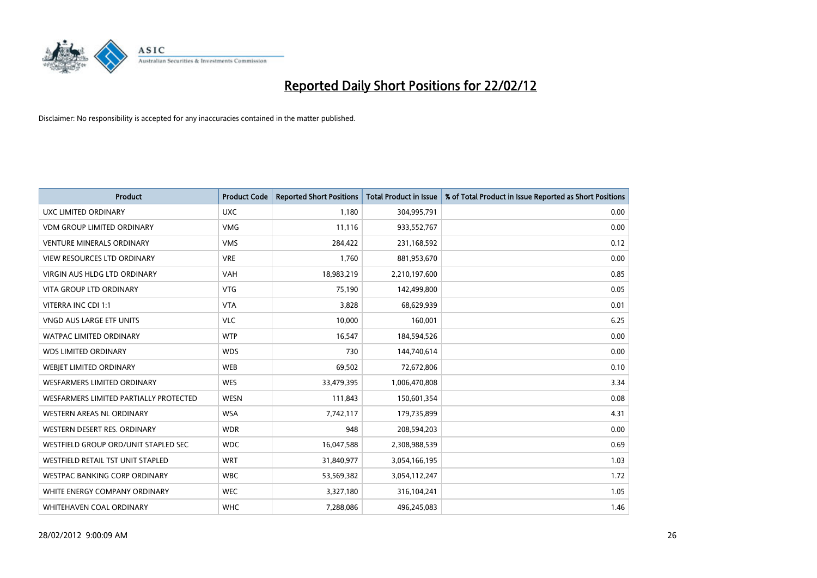

| <b>Product</b>                         | <b>Product Code</b> | <b>Reported Short Positions</b> | <b>Total Product in Issue</b> | % of Total Product in Issue Reported as Short Positions |
|----------------------------------------|---------------------|---------------------------------|-------------------------------|---------------------------------------------------------|
| UXC LIMITED ORDINARY                   | <b>UXC</b>          | 1,180                           | 304,995,791                   | 0.00                                                    |
| <b>VDM GROUP LIMITED ORDINARY</b>      | <b>VMG</b>          | 11,116                          | 933,552,767                   | 0.00                                                    |
| <b>VENTURE MINERALS ORDINARY</b>       | <b>VMS</b>          | 284,422                         | 231,168,592                   | 0.12                                                    |
| <b>VIEW RESOURCES LTD ORDINARY</b>     | <b>VRE</b>          | 1,760                           | 881,953,670                   | 0.00                                                    |
| <b>VIRGIN AUS HLDG LTD ORDINARY</b>    | <b>VAH</b>          | 18,983,219                      | 2,210,197,600                 | 0.85                                                    |
| <b>VITA GROUP LTD ORDINARY</b>         | <b>VTG</b>          | 75,190                          | 142,499,800                   | 0.05                                                    |
| VITERRA INC CDI 1:1                    | <b>VTA</b>          | 3,828                           | 68,629,939                    | 0.01                                                    |
| VNGD AUS LARGE ETF UNITS               | <b>VLC</b>          | 10,000                          | 160,001                       | 6.25                                                    |
| <b>WATPAC LIMITED ORDINARY</b>         | <b>WTP</b>          | 16,547                          | 184,594,526                   | 0.00                                                    |
| <b>WDS LIMITED ORDINARY</b>            | <b>WDS</b>          | 730                             | 144,740,614                   | 0.00                                                    |
| WEBIET LIMITED ORDINARY                | <b>WEB</b>          | 69,502                          | 72,672,806                    | 0.10                                                    |
| <b>WESFARMERS LIMITED ORDINARY</b>     | <b>WES</b>          | 33,479,395                      | 1,006,470,808                 | 3.34                                                    |
| WESFARMERS LIMITED PARTIALLY PROTECTED | <b>WESN</b>         | 111,843                         | 150,601,354                   | 0.08                                                    |
| <b>WESTERN AREAS NL ORDINARY</b>       | <b>WSA</b>          | 7,742,117                       | 179,735,899                   | 4.31                                                    |
| WESTERN DESERT RES. ORDINARY           | <b>WDR</b>          | 948                             | 208,594,203                   | 0.00                                                    |
| WESTFIELD GROUP ORD/UNIT STAPLED SEC   | <b>WDC</b>          | 16,047,588                      | 2,308,988,539                 | 0.69                                                    |
| WESTFIELD RETAIL TST UNIT STAPLED      | <b>WRT</b>          | 31,840,977                      | 3,054,166,195                 | 1.03                                                    |
| WESTPAC BANKING CORP ORDINARY          | <b>WBC</b>          | 53,569,382                      | 3,054,112,247                 | 1.72                                                    |
| WHITE ENERGY COMPANY ORDINARY          | <b>WEC</b>          | 3,327,180                       | 316,104,241                   | 1.05                                                    |
| WHITEHAVEN COAL ORDINARY               | <b>WHC</b>          | 7,288,086                       | 496,245,083                   | 1.46                                                    |